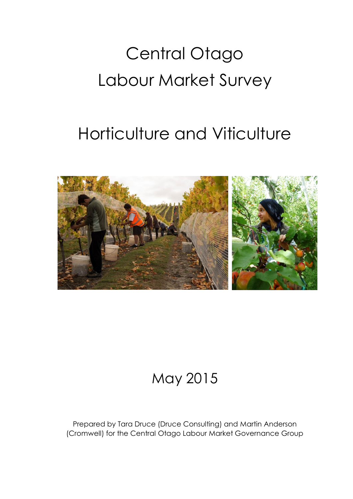# Central Otago Labour Market Survey

# Horticulture and Viticulture



# May 2015

Prepared by Tara Druce (Druce Consulting) and Martin Anderson (Cromwell) for the Central Otago Labour Market Governance Group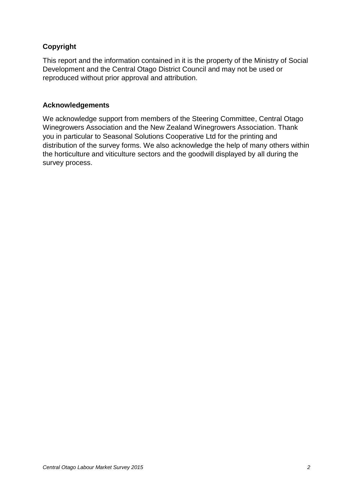## **Copyright**

This report and the information contained in it is the property of the Ministry of Social Development and the Central Otago District Council and may not be used or reproduced without prior approval and attribution.

#### **Acknowledgements**

We acknowledge support from members of the Steering Committee, Central Otago Winegrowers Association and the New Zealand Winegrowers Association. Thank you in particular to Seasonal Solutions Cooperative Ltd for the printing and distribution of the survey forms. We also acknowledge the help of many others within the horticulture and viticulture sectors and the goodwill displayed by all during the survey process.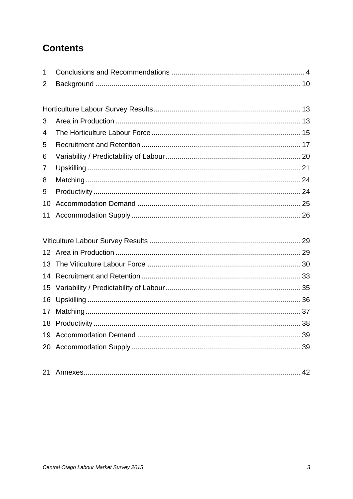# **Contents**

| 10 |  |
|----|--|
|    |  |
|    |  |
|    |  |
|    |  |
|    |  |
|    |  |
| 15 |  |
| 16 |  |
| 17 |  |
| 18 |  |
| 19 |  |
|    |  |
|    |  |
|    |  |

| $\mathcal{L}$ |  |
|---------------|--|
|               |  |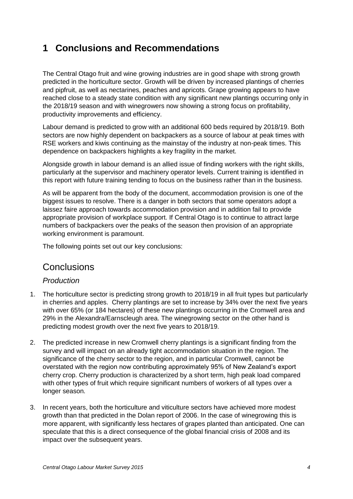# <span id="page-3-0"></span>**1 Conclusions and Recommendations**

The Central Otago fruit and wine growing industries are in good shape with strong growth predicted in the horticulture sector. Growth will be driven by increased plantings of cherries and pipfruit, as well as nectarines, peaches and apricots. Grape growing appears to have reached close to a steady state condition with any significant new plantings occurring only in the 2018/19 season and with winegrowers now showing a strong focus on profitability, productivity improvements and efficiency.

Labour demand is predicted to grow with an additional 600 beds required by 2018/19. Both sectors are now highly dependent on backpackers as a source of labour at peak times with RSE workers and kiwis continuing as the mainstay of the industry at non-peak times. This dependence on backpackers highlights a key fragility in the market.

Alongside growth in labour demand is an allied issue of finding workers with the right skills, particularly at the supervisor and machinery operator levels. Current training is identified in this report with future training tending to focus on the business rather than in the business.

As will be apparent from the body of the document, accommodation provision is one of the biggest issues to resolve. There is a danger in both sectors that some operators adopt a laissez faire approach towards accommodation provision and in addition fail to provide appropriate provision of workplace support. If Central Otago is to continue to attract large numbers of backpackers over the peaks of the season then provision of an appropriate working environment is paramount.

The following points set out our key conclusions:

## **Conclusions**

#### *Production*

- 1. The horticulture sector is predicting strong growth to 2018/19 in all fruit types but particularly in cherries and apples. Cherry plantings are set to increase by 34% over the next five years with over 65% (or 184 hectares) of these new plantings occurring in the Cromwell area and 29% in the Alexandra/Earnscleugh area. The winegrowing sector on the other hand is predicting modest growth over the next five years to 2018/19.
- 2. The predicted increase in new Cromwell cherry plantings is a significant finding from the survey and will impact on an already tight accommodation situation in the region. The significance of the cherry sector to the region, and in particular Cromwell, cannot be overstated with the region now contributing approximately 95% of New Zealand's export cherry crop. Cherry production is characterized by a short term, high peak load compared with other types of fruit which require significant numbers of workers of all types over a longer season.
- 3. In recent years, both the horticulture and viticulture sectors have achieved more modest growth than that predicted in the Dolan report of 2006. In the case of winegrowing this is more apparent, with significantly less hectares of grapes planted than anticipated. One can speculate that this is a direct consequence of the global financial crisis of 2008 and its impact over the subsequent years.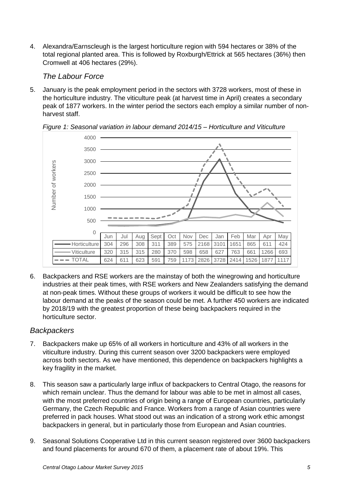4. Alexandra/Earnscleugh is the largest horticulture region with 594 hectares or 38% of the total regional planted area. This is followed by Roxburgh/Ettrick at 565 hectares (36%) then Cromwell at 406 hectares (29%).

#### *The Labour Force*

5. January is the peak employment period in the sectors with 3728 workers, most of these in the horticulture industry. The viticulture peak (at harvest time in April) creates a secondary peak of 1877 workers. In the winter period the sectors each employ a similar number of nonharvest staff.



*Figure 1: Seasonal variation in labour demand 2014/15 – Horticulture and Viticulture*

6. Backpackers and RSE workers are the mainstay of both the winegrowing and horticulture industries at their peak times, with RSE workers and New Zealanders satisfying the demand at non-peak times. Without these groups of workers it would be difficult to see how the labour demand at the peaks of the season could be met. A further 450 workers are indicated by 2018/19 with the greatest proportion of these being backpackers required in the horticulture sector.

## *Backpackers*

- 7. Backpackers make up 65% of all workers in horticulture and 43% of all workers in the viticulture industry. During this current season over 3200 backpackers were employed across both sectors. As we have mentioned, this dependence on backpackers highlights a key fragility in the market.
- 8. This season saw a particularly large influx of backpackers to Central Otago, the reasons for which remain unclear. Thus the demand for labour was able to be met in almost all cases, with the most preferred countries of origin being a range of European countries, particularly Germany, the Czech Republic and France. Workers from a range of Asian countries were preferred in pack houses. What stood out was an indication of a strong work ethic amongst backpackers in general, but in particularly those from European and Asian countries.
- 9. Seasonal Solutions Cooperative Ltd in this current season registered over 3600 backpackers and found placements for around 670 of them, a placement rate of about 19%. This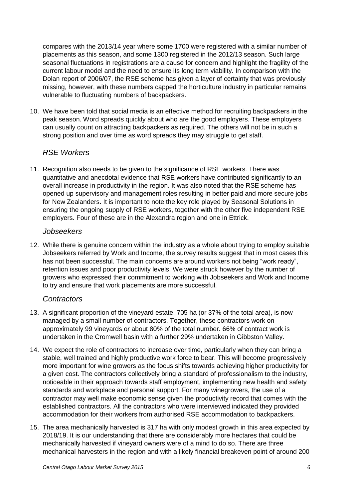compares with the 2013/14 year where some 1700 were registered with a similar number of placements as this season, and some 1300 registered in the 2012/13 season. Such large seasonal fluctuations in registrations are a cause for concern and highlight the fragility of the current labour model and the need to ensure its long term viability. In comparison with the Dolan report of 2006/07, the RSE scheme has given a layer of certainty that was previously missing, however, with these numbers capped the horticulture industry in particular remains vulnerable to fluctuating numbers of backpackers.

10. We have been told that social media is an effective method for recruiting backpackers in the peak season. Word spreads quickly about who are the good employers. These employers can usually count on attracting backpackers as required. The others will not be in such a strong position and over time as word spreads they may struggle to get staff.

#### *RSE Workers*

11. Recognition also needs to be given to the significance of RSE workers. There was quantitative and anecdotal evidence that RSE workers have contributed significantly to an overall increase in productivity in the region. It was also noted that the RSE scheme has opened up supervisory and management roles resulting in better paid and more secure jobs for New Zealanders. It is important to note the key role played by Seasonal Solutions in ensuring the ongoing supply of RSE workers, together with the other five independent RSE employers. Four of these are in the Alexandra region and one in Ettrick.

#### *Jobseekers*

12. While there is genuine concern within the industry as a whole about trying to employ suitable Jobseekers referred by Work and Income, the survey results suggest that in most cases this has not been successful. The main concerns are around workers not being "work ready", retention issues and poor productivity levels. We were struck however by the number of growers who expressed their commitment to working with Jobseekers and Work and Income to try and ensure that work placements are more successful.

#### *Contractors*

- 13. A significant proportion of the vineyard estate, 705 ha (or 37% of the total area), is now managed by a small number of contractors. Together, these contractors work on approximately 99 vineyards or about 80% of the total number. 66% of contract work is undertaken in the Cromwell basin with a further 29% undertaken in Gibbston Valley.
- 14. We expect the role of contractors to increase over time, particularly when they can bring a stable, well trained and highly productive work force to bear. This will become progressively more important for wine growers as the focus shifts towards achieving higher productivity for a given cost. The contractors collectively bring a standard of professionalism to the industry, noticeable in their approach towards staff employment, implementing new health and safety standards and workplace and personal support. For many winegrowers, the use of a contractor may well make economic sense given the productivity record that comes with the established contractors. All the contractors who were interviewed indicated they provided accommodation for their workers from authorised RSE accommodation to backpackers.
- 15. The area mechanically harvested is 317 ha with only modest growth in this area expected by 2018/19. It is our understanding that there are considerably more hectares that could be mechanically harvested if vineyard owners were of a mind to do so. There are three mechanical harvesters in the region and with a likely financial breakeven point of around 200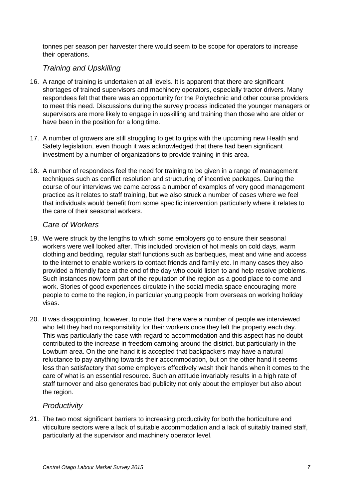tonnes per season per harvester there would seem to be scope for operators to increase their operations.

#### *Training and Upskilling*

- 16. A range of training is undertaken at all levels. It is apparent that there are significant shortages of trained supervisors and machinery operators, especially tractor drivers. Many respondees felt that there was an opportunity for the Polytechnic and other course providers to meet this need. Discussions during the survey process indicated the younger managers or supervisors are more likely to engage in upskilling and training than those who are older or have been in the position for a long time.
- 17. A number of growers are still struggling to get to grips with the upcoming new Health and Safety legislation, even though it was acknowledged that there had been significant investment by a number of organizations to provide training in this area.
- 18. A number of respondees feel the need for training to be given in a range of management techniques such as conflict resolution and structuring of incentive packages. During the course of our interviews we came across a number of examples of very good management practice as it relates to staff training, but we also struck a number of cases where we feel that individuals would benefit from some specific intervention particularly where it relates to the care of their seasonal workers.

#### *Care of Workers*

- 19. We were struck by the lengths to which some employers go to ensure their seasonal workers were well looked after. This included provision of hot meals on cold days, warm clothing and bedding, regular staff functions such as barbeques, meat and wine and access to the internet to enable workers to contact friends and family etc. In many cases they also provided a friendly face at the end of the day who could listen to and help resolve problems. Such instances now form part of the reputation of the region as a good place to come and work. Stories of good experiences circulate in the social media space encouraging more people to come to the region, in particular young people from overseas on working holiday visas.
- 20. It was disappointing, however, to note that there were a number of people we interviewed who felt they had no responsibility for their workers once they left the property each day. This was particularly the case with regard to accommodation and this aspect has no doubt contributed to the increase in freedom camping around the district, but particularly in the Lowburn area. On the one hand it is accepted that backpackers may have a natural reluctance to pay anything towards their accommodation, but on the other hand it seems less than satisfactory that some employers effectively wash their hands when it comes to the care of what is an essential resource. Such an attitude invariably results in a high rate of staff turnover and also generates bad publicity not only about the employer but also about the region.

#### *Productivity*

21. The two most significant barriers to increasing productivity for both the horticulture and viticulture sectors were a lack of suitable accommodation and a lack of suitably trained staff, particularly at the supervisor and machinery operator level.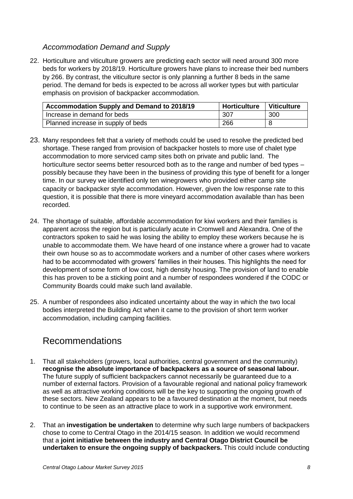## *Accommodation Demand and Supply*

22. Horticulture and viticulture growers are predicting each sector will need around 300 more beds for workers by 2018/19. Horticulture growers have plans to increase their bed numbers by 266. By contrast, the viticulture sector is only planning a further 8 beds in the same period. The demand for beds is expected to be across all worker types but with particular emphasis on provision of backpacker accommodation.

| <b>Accommodation Supply and Demand to 2018/19</b> | <b>Horticulture</b> | Viticulture |
|---------------------------------------------------|---------------------|-------------|
| Increase in demand for beds                       | 307                 | 300         |
| Planned increase in supply of beds                | 266                 |             |

- 23. Many respondees felt that a variety of methods could be used to resolve the predicted bed shortage. These ranged from provision of backpacker hostels to more use of chalet type accommodation to more serviced camp sites both on private and public land. The horticulture sector seems better resourced both as to the range and number of bed types – possibly because they have been in the business of providing this type of benefit for a longer time. In our survey we identified only ten winegrowers who provided either camp site capacity or backpacker style accommodation. However, given the low response rate to this question, it is possible that there is more vineyard accommodation available than has been recorded.
- 24. The shortage of suitable, affordable accommodation for kiwi workers and their families is apparent across the region but is particularly acute in Cromwell and Alexandra. One of the contractors spoken to said he was losing the ability to employ these workers because he is unable to accommodate them. We have heard of one instance where a grower had to vacate their own house so as to accommodate workers and a number of other cases where workers had to be accommodated with growers' families in their houses. This highlights the need for development of some form of low cost, high density housing. The provision of land to enable this has proven to be a sticking point and a number of respondees wondered if the CODC or Community Boards could make such land available.
- 25. A number of respondees also indicated uncertainty about the way in which the two local bodies interpreted the Building Act when it came to the provision of short term worker accommodation, including camping facilities.

## Recommendations

- 1. That all stakeholders (growers, local authorities, central government and the community) **recognise the absolute importance of backpackers as a source of seasonal labour.** The future supply of sufficient backpackers cannot necessarily be guaranteed due to a number of external factors. Provision of a favourable regional and national policy framework as well as attractive working conditions will be the key to supporting the ongoing growth of these sectors. New Zealand appears to be a favoured destination at the moment, but needs to continue to be seen as an attractive place to work in a supportive work environment.
- 2. That an **investigation be undertaken** to determine why such large numbers of backpackers chose to come to Central Otago in the 2014/15 season. In addition we would recommend that a **joint initiative between the industry and Central Otago District Council be undertaken to ensure the ongoing supply of backpackers.** This could include conducting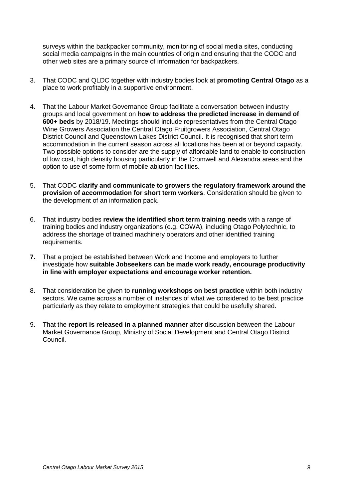surveys within the backpacker community, monitoring of social media sites, conducting social media campaigns in the main countries of origin and ensuring that the CODC and other web sites are a primary source of information for backpackers.

- 3. That CODC and QLDC together with industry bodies look at **promoting Central Otago** as a place to work profitably in a supportive environment.
- 4. That the Labour Market Governance Group facilitate a conversation between industry groups and local government on **how to address the predicted increase in demand of 600+ beds** by 2018/19. Meetings should include representatives from the Central Otago Wine Growers Association the Central Otago Fruitgrowers Association, Central Otago District Council and Queenstown Lakes District Council. It is recognised that short term accommodation in the current season across all locations has been at or beyond capacity. Two possible options to consider are the supply of affordable land to enable to construction of low cost, high density housing particularly in the Cromwell and Alexandra areas and the option to use of some form of mobile ablution facilities.
- 5. That CODC **clarify and communicate to growers the regulatory framework around the provision of accommodation for short term workers**. Consideration should be given to the development of an information pack.
- 6. That industry bodies **review the identified short term training needs** with a range of training bodies and industry organizations (e.g. COWA), including Otago Polytechnic, to address the shortage of trained machinery operators and other identified training requirements.
- **7.** That a project be established between Work and Income and employers to further investigate how **suitable Jobseekers can be made work ready, encourage productivity in line with employer expectations and encourage worker retention.**
- 8. That consideration be given to **running workshops on best practice** within both industry sectors. We came across a number of instances of what we considered to be best practice particularly as they relate to employment strategies that could be usefully shared.
- 9. That the **report is released in a planned manner** after discussion between the Labour Market Governance Group, Ministry of Social Development and Central Otago District Council.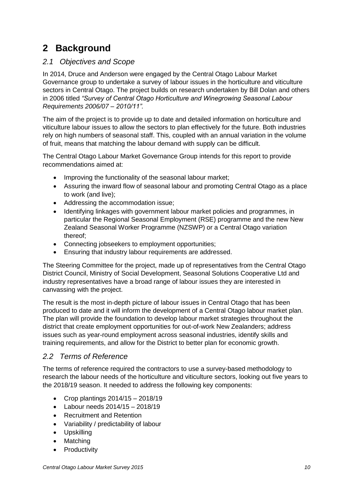# <span id="page-9-0"></span>**2 Background**

#### *2.1 Objectives and Scope*

In 2014, Druce and Anderson were engaged by the Central Otago Labour Market Governance group to undertake a survey of labour issues in the horticulture and viticulture sectors in Central Otago. The project builds on research undertaken by Bill Dolan and others in 2006 titled *"Survey of Central Otago Horticulture and Winegrowing Seasonal Labour Requirements 2006/07 – 2010/11".* 

The aim of the project is to provide up to date and detailed information on horticulture and viticulture labour issues to allow the sectors to plan effectively for the future. Both industries rely on high numbers of seasonal staff. This, coupled with an annual variation in the volume of fruit, means that matching the labour demand with supply can be difficult.

The Central Otago Labour Market Governance Group intends for this report to provide recommendations aimed at:

- Improving the functionality of the seasonal labour market;
- Assuring the inward flow of seasonal labour and promoting Central Otago as a place to work (and live);
- Addressing the accommodation issue;
- Identifying linkages with government labour market policies and programmes, in particular the Regional Seasonal Employment (RSE) programme and the new New Zealand Seasonal Worker Programme (NZSWP) or a Central Otago variation thereof;
- Connecting jobseekers to employment opportunities;
- Ensuring that industry labour requirements are addressed.

The Steering Committee for the project, made up of representatives from the Central Otago District Council, Ministry of Social Development, Seasonal Solutions Cooperative Ltd and industry representatives have a broad range of labour issues they are interested in canvassing with the project.

The result is the most in-depth picture of labour issues in Central Otago that has been produced to date and it will inform the development of a Central Otago labour market plan. The plan will provide the foundation to develop labour market strategies throughout the district that create employment opportunities for out-of-work New Zealanders; address issues such as year-round employment across seasonal industries, identify skills and training requirements, and allow for the District to better plan for economic growth.

#### *2.2 Terms of Reference*

The terms of reference required the contractors to use a survey-based methodology to research the labour needs of the horticulture and viticulture sectors, looking out five years to the 2018/19 season. It needed to address the following key components:

- Crop plantings  $2014/15 2018/19$
- $\bullet$  Labour needs 2014/15 2018/19
- Recruitment and Retention
- Variability / predictability of labour
- Upskilling
- Matching
- Productivity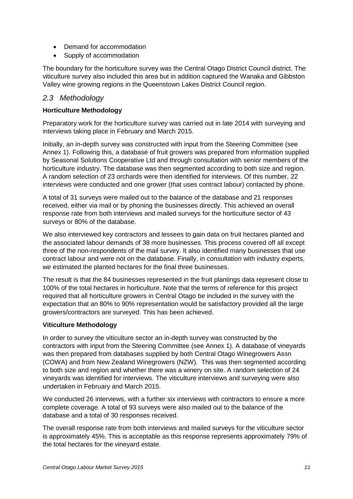- Demand for accommodation
- Supply of accommodation

The boundary for the horticulture survey was the Central Otago District Council district. The viticulture survey also included this area but in addition captured the Wanaka and Gibbston Valley wine growing regions in the Queenstown Lakes District Council region.

#### *2.3 Methodology*

#### **Horticulture Methodology**

Preparatory work for the horticulture survey was carried out in late 2014 with surveying and interviews taking place in February and March 2015.

Initially, an in-depth survey was constructed with input from the Steering Committee (see Annex 1). Following this, a database of fruit growers was prepared from information supplied by Seasonal Solutions Cooperative Ltd and through consultation with senior members of the horticulture industry. The database was then segmented according to both size and region. A random selection of 23 orchards were then identified for interviews. Of this number, 22 interviews were conducted and one grower (that uses contract labour) contacted by phone.

A total of 31 surveys were mailed out to the balance of the database and 21 responses received, either via mail or by phoning the businesses directly. This achieved an overall response rate from both interviews and mailed surveys for the horticulture sector of 43 surveys or 80% of the database.

We also interviewed key contractors and lessees to gain data on fruit hectares planted and the associated labour demands of 38 more businesses. This process covered off all except three of the non-respondents of the mail survey. It also identified many businesses that use contract labour and were not on the database. Finally, in consultation with industry experts, we estimated the planted hectares for the final three businesses.

The result is that the 84 businesses represented in the fruit plantings data represent close to 100% of the total hectares in horticulture. Note that the terms of reference for this project required that all horticulture growers in Central Otago be included in the survey with the expectation that an 80% to 90% representation would be satisfactory provided all the large growers/contractors are surveyed. This has been achieved.

#### **Viticulture Methodology**

In order to survey the viticulture sector an in-depth survey was constructed by the contractors with input from the Steering Committee (see Annex 1). A database of vineyards was then prepared from databases supplied by both Central Otago Winegrowers Assn (COWA) and from New Zealand Winegrowers (NZW). This was then segmented according to both size and region and whether there was a winery on site. A random selection of 24 vineyards was identified for interviews. The viticulture interviews and surveying were also undertaken in February and March 2015.

We conducted 26 interviews, with a further six interviews with contractors to ensure a more complete coverage. A total of 93 surveys were also mailed out to the balance of the database and a total of 30 responses received.

The overall response rate from both interviews and mailed surveys for the viticulture sector is approximately 45%. This is acceptable as this response represents approximately 79% of the total hectares for the vineyard estate.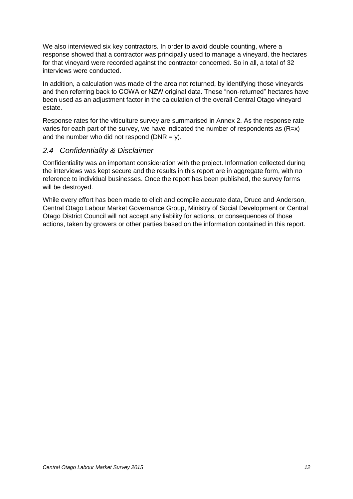We also interviewed six key contractors. In order to avoid double counting, where a response showed that a contractor was principally used to manage a vineyard, the hectares for that vineyard were recorded against the contractor concerned. So in all, a total of 32 interviews were conducted.

In addition, a calculation was made of the area not returned, by identifying those vineyards and then referring back to COWA or NZW original data. These "non-returned" hectares have been used as an adjustment factor in the calculation of the overall Central Otago vineyard estate.

Response rates for the viticulture survey are summarised in Annex 2. As the response rate varies for each part of the survey, we have indicated the number of respondents as  $(R=x)$ and the number who did not respond ( $DNR = y$ ).

#### *2.4 Confidentiality & Disclaimer*

Confidentiality was an important consideration with the project. Information collected during the interviews was kept secure and the results in this report are in aggregate form, with no reference to individual businesses. Once the report has been published, the survey forms will be destroyed.

While every effort has been made to elicit and compile accurate data, Druce and Anderson, Central Otago Labour Market Governance Group, Ministry of Social Development or Central Otago District Council will not accept any liability for actions, or consequences of those actions, taken by growers or other parties based on the information contained in this report.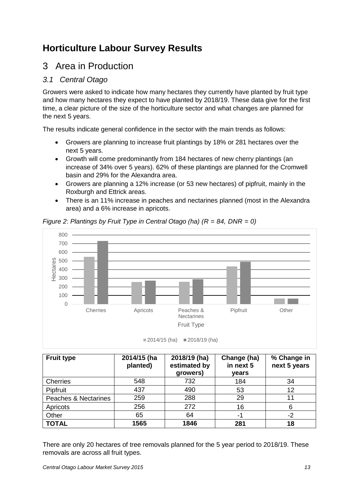# <span id="page-12-0"></span>**Horticulture Labour Survey Results**

# <span id="page-12-1"></span>3 Area in Production

## *3.1 Central Otago*

Growers were asked to indicate how many hectares they currently have planted by fruit type and how many hectares they expect to have planted by 2018/19. These data give for the first time, a clear picture of the size of the horticulture sector and what changes are planned for the next 5 years.

The results indicate general confidence in the sector with the main trends as follows:

- Growers are planning to increase fruit plantings by 18% or 281 hectares over the next 5 years.
- Growth will come predominantly from 184 hectares of new cherry plantings (an increase of 34% over 5 years). 62% of these plantings are planned for the Cromwell basin and 29% for the Alexandra area.
- Growers are planning a 12% increase (or 53 new hectares) of pipfruit, mainly in the Roxburgh and Ettrick areas.
- There is an 11% increase in peaches and nectarines planned (most in the Alexandra area) and a 6% increase in apricots.



*Figure 2*: *Plantings by Fruit Type in Central Otago (ha) (R = 84, DNR = 0)*

| <b>Fruit type</b>    | 2014/15 (ha<br>planted) | 2018/19 (ha)<br>estimated by<br>growers) | Change (ha)<br>in next 5<br>years | % Change in<br>next 5 years |
|----------------------|-------------------------|------------------------------------------|-----------------------------------|-----------------------------|
| <b>Cherries</b>      | 548                     | 732                                      | 184                               | 34                          |
| Pipfruit             | 437                     | 490                                      | 53                                | 12                          |
| Peaches & Nectarines | 259                     | 288                                      | 29                                | 11                          |
| Apricots             | 256                     | 272                                      | 16                                | 6                           |
| Other                | 65                      | 64                                       | -1                                | -2                          |
| <b>TOTAL</b>         | 1565                    | 1846                                     | 281                               | 18                          |

There are only 20 hectares of tree removals planned for the 5 year period to 2018/19. These removals are across all fruit types.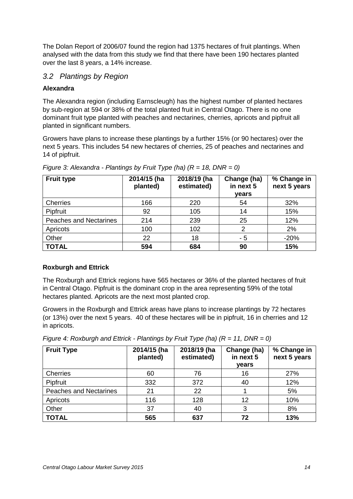The Dolan Report of 2006/07 found the region had 1375 hectares of fruit plantings. When analysed with the data from this study we find that there have been 190 hectares planted over the last 8 years, a 14% increase.

#### *3.2 Plantings by Region*

#### **Alexandra**

The Alexandra region (including Earnscleugh) has the highest number of planted hectares by sub-region at 594 or 38% of the total planted fruit in Central Otago. There is no one dominant fruit type planted with peaches and nectarines, cherries, apricots and pipfruit all planted in significant numbers.

Growers have plans to increase these plantings by a further 15% (or 90 hectares) over the next 5 years. This includes 54 new hectares of cherries, 25 of peaches and nectarines and 14 of pipfruit.

| <b>Fruit type</b>             | 2014/15 (ha<br>planted) | 2018/19 (ha<br>estimated) | Change (ha)<br>in next 5<br>vears | % Change in<br>next 5 years |
|-------------------------------|-------------------------|---------------------------|-----------------------------------|-----------------------------|
| <b>Cherries</b>               | 166                     | 220                       | 54                                | 32%                         |
| Pipfruit                      | 92                      | 105                       | 14                                | 15%                         |
| <b>Peaches and Nectarines</b> | 214                     | 239                       | 25                                | 12%                         |
| Apricots                      | 100                     | 102                       | 2                                 | 2%                          |
| Other                         | 22                      | 18                        | - 5                               | $-20%$                      |
| <b>TOTAL</b>                  | 594                     | 684                       | 90                                | 15%                         |

*Figure 3: Alexandra - Plantings by Fruit Type (ha) (R = 18, DNR = 0)*

#### **Roxburgh and Ettrick**

The Roxburgh and Ettrick regions have 565 hectares or 36% of the planted hectares of fruit in Central Otago. Pipfruit is the dominant crop in the area representing 59% of the total hectares planted. Apricots are the next most planted crop.

Growers in the Roxburgh and Ettrick areas have plans to increase plantings by 72 hectares (or 13%) over the next 5 years. 40 of these hectares will be in pipfruit, 16 in cherries and 12 in apricots.

| <b>Fruit Type</b>             | 2014/15 (ha<br>planted) | 2018/19 (ha<br>estimated) | Change (ha)<br>in next 5<br>years | % Change in<br>next 5 years |
|-------------------------------|-------------------------|---------------------------|-----------------------------------|-----------------------------|
| <b>Cherries</b>               | 60                      | 76                        | 16                                | 27%                         |
| Pipfruit                      | 332                     | 372                       | 40                                | 12%                         |
| <b>Peaches and Nectarines</b> | 21                      | 22                        |                                   | 5%                          |
| Apricots                      | 116                     | 128                       | 12                                | 10%                         |
| Other                         | 37                      | 40                        | 3                                 | 8%                          |
| <b>TOTAL</b>                  | 565                     | 637                       | 72                                | 13%                         |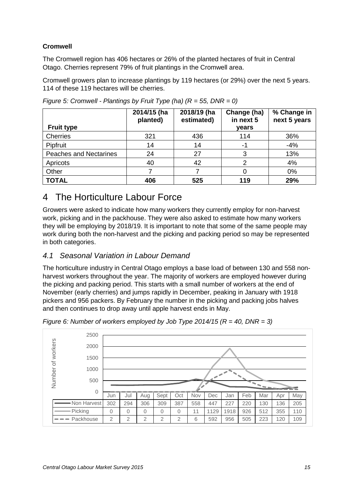#### **Cromwell**

The Cromwell region has 406 hectares or 26% of the planted hectares of fruit in Central Otago. Cherries represent 79% of fruit plantings in the Cromwell area.

Cromwell growers plan to increase plantings by 119 hectares (or 29%) over the next 5 years. 114 of these 119 hectares will be cherries.

| <b>Fruit type</b>             | 2014/15 (ha<br>planted) | 2018/19 (ha<br>estimated) | Change (ha)<br>in next 5<br>years | % Change in<br>next 5 years |
|-------------------------------|-------------------------|---------------------------|-----------------------------------|-----------------------------|
| <b>Cherries</b>               | 321                     | 436                       | 114                               | 36%                         |
| Pipfruit                      | 14                      | 14                        | $-1$                              | $-4%$                       |
| <b>Peaches and Nectarines</b> | 24                      | 27                        | 3                                 | 13%                         |
| Apricots                      | 40                      | 42                        | 2                                 | 4%                          |
| Other                         |                         |                           |                                   | 0%                          |
| <b>TOTAL</b>                  | 406                     | 525                       | 119                               | 29%                         |

*Figure 5: Cromwell - Plantings by Fruit Type (ha) (R = 55, DNR = 0)*

# <span id="page-14-0"></span>4 The Horticulture Labour Force

Growers were asked to indicate how many workers they currently employ for non-harvest work, picking and in the packhouse. They were also asked to estimate how many workers they will be employing by 2018/19. It is important to note that some of the same people may work during both the non-harvest and the picking and packing period so may be represented in both categories.

## *4.1 Seasonal Variation in Labour Demand*

The horticulture industry in Central Otago employs a base load of between 130 and 558 nonharvest workers throughout the year. The majority of workers are employed however during the picking and packing period. This starts with a small number of workers at the end of November (early cherries) and jumps rapidly in December, peaking in January with 1918 pickers and 956 packers. By February the number in the picking and packing jobs halves and then continues to drop away until apple harvest ends in May.



*Figure 6: Number of workers employed by Job Type 2014/15 (R = 40, DNR = 3)*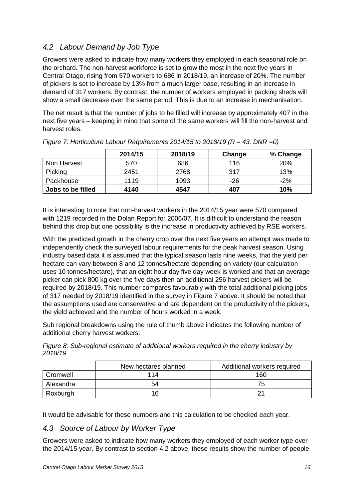## *4.2 Labour Demand by Job Type*

Growers were asked to indicate how many workers they employed in each seasonal role on the orchard. The non-harvest workforce is set to grow the most in the next five years in Central Otago, rising from 570 workers to 686 in 2018/19, an increase of 20%. The number of pickers is set to increase by 13% from a much larger base, resulting in an increase in demand of 317 workers. By contrast, the number of workers employed in packing sheds will show a small decrease over the same period. This is due to an increase in mechanisation.

The net result is that the number of jobs to be filled will increase by approximately 407 in the next five years – keeping in mind that some of the same workers will fill the non-harvest and harvest roles.

|                   | 2014/15 | 2018/19 | Change | % Change |
|-------------------|---------|---------|--------|----------|
| Non Harvest       | 570     | 686     | 116    | 20%      |
| Picking           | 2451    | 2768    | 317    | 13%      |
| Packhouse         | 1119    | 1093    | -26    | $-2%$    |
| Jobs to be filled | 4140    | 4547    | 407    | 10%      |

| Figure 7: Horticulture Labour Requirements 2014/15 to 2018/19 ( $R = 43$ , DNR =0) |  |
|------------------------------------------------------------------------------------|--|
|                                                                                    |  |
|                                                                                    |  |
|                                                                                    |  |

It is interesting to note that non-harvest workers in the 2014/15 year were 570 compared with 1219 recorded in the Dolan Report for 2006/07. It is difficult to understand the reason behind this drop but one possibility is the increase in productivity achieved by RSE workers.

With the predicted growth in the cherry crop over the next five years an attempt was made to independently check the surveyed labour requirements for the peak harvest season. Using industry based data it is assumed that the typical season lasts nine weeks, that the yield per hectare can vary between 8 and 12 tonnes/hectare depending on variety (our calculation uses 10 tonnes/hectare), that an eight hour day five day week is worked and that an average picker can pick 800 kg over the five days then an additional 256 harvest pickers will be required by 2018/19. This number compares favourably with the total additional picking jobs of 317 needed by 2018/19 identified in the survey in Figure 7 above. It should be noted that the assumptions used are conservative and are dependent on the productivity of the pickers, the yield achieved and the number of hours worked in a week.

Sub regional breakdowns using the rule of thumb above indicates the following number of additional cherry harvest workers:

*Figure 8: Sub-regional estimate of additional workers required in the cherry industry by 2018/19*

|           | New hectares planned | Additional workers required |
|-----------|----------------------|-----------------------------|
| Cromwell  | 114                  | 160                         |
| Alexandra | 54                   | 75                          |
| Roxburgh  |                      |                             |

It would be advisable for these numbers and this calculation to be checked each year.

#### *4.3 Source of Labour by Worker Type*

Growers were asked to indicate how many workers they employed of each worker type over the 2014/15 year. By contrast to section 4.2 above, these results show the number of people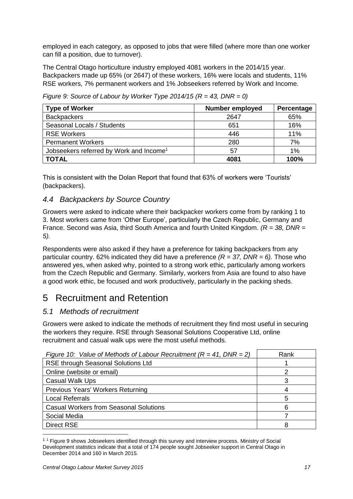employed in each category, as opposed to jobs that were filled (where more than one worker can fill a position, due to turnover).

The Central Otago horticulture industry employed 4081 workers in the 2014/15 year. Backpackers made up 65% (or 2647) of these workers, 16% were locals and students, 11% RSE workers, 7% permanent workers and 1% Jobseekers referred by Work and Income.

| <b>Type of Worker</b>                               | <b>Number employed</b> | Percentage |
|-----------------------------------------------------|------------------------|------------|
| <b>Backpackers</b>                                  | 2647                   | 65%        |
| Seasonal Locals / Students                          | 651                    | 16%        |
| <b>RSE Workers</b>                                  | 446                    | 11%        |
| <b>Permanent Workers</b>                            | 280                    | 7%         |
| Jobseekers referred by Work and Income <sup>1</sup> | 57                     | 1%         |
| <b>TOTAL</b>                                        | 4081                   | 100%       |

*Figure 9: Source of Labour by Worker Type 2014/15 (R = 43, DNR = 0)*

This is consistent with the Dolan Report that found that 63% of workers were 'Tourists' (backpackers).

#### *4.4 Backpackers by Source Country*

Growers were asked to indicate where their backpacker workers come from by ranking 1 to 3. Most workers came from 'Other Europe', particularly the Czech Republic, Germany and France. Second was Asia, third South America and fourth United Kingdom. *(R = 38, DNR = 5).*

Respondents were also asked if they have a preference for taking backpackers from any particular country. 62% indicated they did have a preference *(R = 37, DNR = 6).* Those who answered yes, when asked why, pointed to a strong work ethic, particularly among workers from the Czech Republic and Germany. Similarly, workers from Asia are found to also have a good work ethic, be focused and work productively, particularly in the packing sheds.

# <span id="page-16-0"></span>5 Recruitment and Retention

## *5.1 Methods of recruitment*

Growers were asked to indicate the methods of recruitment they find most useful in securing the workers they require. RSE through Seasonal Solutions Cooperative Ltd, online recruitment and casual walk ups were the most useful methods.

| Figure 10: Value of Methods of Labour Recruitment ( $R = 41$ , DNR = 2) | Rank |
|-------------------------------------------------------------------------|------|
| <b>RSE through Seasonal Solutions Ltd</b>                               |      |
| Online (website or email)                                               |      |
| <b>Casual Walk Ups</b>                                                  | 3    |
| Previous Years' Workers Returning                                       |      |
| <b>Local Referrals</b>                                                  | 5    |
| <b>Casual Workers from Seasonal Solutions</b>                           | 6    |
| Social Media                                                            |      |
| <b>Direct RSE</b>                                                       | 8    |

<sup>&</sup>lt;sup>11</sup> Figure 9 shows Jobseekers identified through this survey and interview process. Ministry of Social Development statistics indicate that a total of 174 people sought Jobseeker support in Central Otago in December 2014 and 160 in March 2015.

-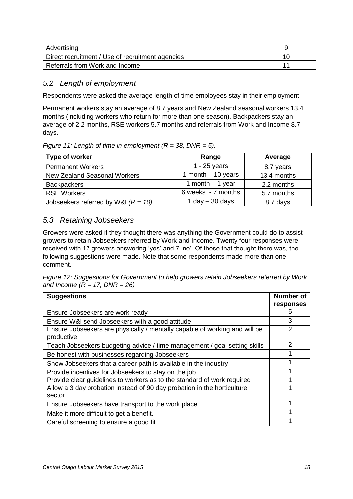| Advertising                                      |  |
|--------------------------------------------------|--|
| Direct recruitment / Use of recruitment agencies |  |
| Referrals from Work and Income                   |  |

#### *5.2 Length of employment*

Respondents were asked the average length of time employees stay in their employment.

Permanent workers stay an average of 8.7 years and New Zealand seasonal workers 13.4 months (including workers who return for more than one season). Backpackers stay an average of 2.2 months, RSE workers 5.7 months and referrals from Work and Income 8.7 days.

*Figure 11: Length of time in employment (R = 38, DNR = 5).*

| Type of worker                        | Range                | Average     |
|---------------------------------------|----------------------|-------------|
| <b>Permanent Workers</b>              | $1 - 25$ years       | 8.7 years   |
| New Zealand Seasonal Workers          | 1 month $-$ 10 years | 13.4 months |
| <b>Backpackers</b>                    | 1 month $-$ 1 year   | 2.2 months  |
| <b>RSE Workers</b>                    | 6 weeks - 7 months   | 5.7 months  |
| Jobseekers referred by W&I $(R = 10)$ | 1 day $-30$ days     | 8.7 days    |

#### *5.3 Retaining Jobseekers*

Growers were asked if they thought there was anything the Government could do to assist growers to retain Jobseekers referred by Work and Income. Twenty four responses were received with 17 growers answering 'yes' and 7 'no'. Of those that thought there was, the following suggestions were made. Note that some respondents made more than one comment.

*Figure 12: Suggestions for Government to help growers retain Jobseekers referred by Work and Income (R = 17, DNR = 26)*

| <b>Suggestions</b>                                                                       | <b>Number of</b> |
|------------------------------------------------------------------------------------------|------------------|
|                                                                                          | responses        |
| Ensure Jobseekers are work ready                                                         | 5                |
| Ensure W&I send Jobseekers with a good attitude                                          | 3                |
| Ensure Jobseekers are physically / mentally capable of working and will be<br>productive | 2                |
| Teach Jobseekers budgeting advice / time management / goal setting skills                | 2                |
| Be honest with businesses regarding Jobseekers                                           |                  |
| Show Jobseekers that a career path is available in the industry                          |                  |
| Provide incentives for Jobseekers to stay on the job                                     |                  |
| Provide clear guidelines to workers as to the standard of work required                  |                  |
| Allow a 3 day probation instead of 90 day probation in the horticulture                  |                  |
| sector                                                                                   |                  |
| Ensure Jobseekers have transport to the work place                                       |                  |
| Make it more difficult to get a benefit.                                                 |                  |
| Careful screening to ensure a good fit                                                   |                  |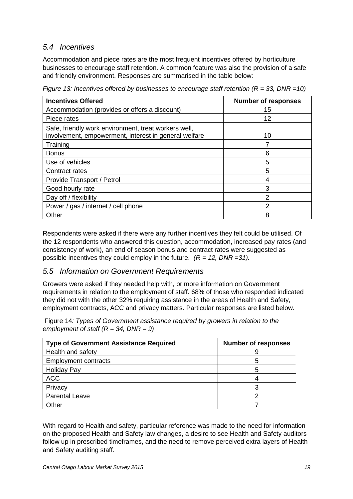## *5.4 Incentives*

Accommodation and piece rates are the most frequent incentives offered by horticulture businesses to encourage staff retention. A common feature was also the provision of a safe and friendly environment. Responses are summarised in the table below:

*Figure 13: Incentives offered by businesses to encourage staff retention (R = 33, DNR =10)*

| <b>Incentives Offered</b>                                                                                     | <b>Number of responses</b> |
|---------------------------------------------------------------------------------------------------------------|----------------------------|
| Accommodation (provides or offers a discount)                                                                 | 15                         |
| Piece rates                                                                                                   | 12                         |
| Safe, friendly work environment, treat workers well,<br>involvement, empowerment, interest in general welfare | 10                         |
| Training                                                                                                      |                            |
| <b>Bonus</b>                                                                                                  | 6                          |
| Use of vehicles                                                                                               | 5                          |
| Contract rates                                                                                                | 5                          |
| Provide Transport / Petrol                                                                                    | 4                          |
| Good hourly rate                                                                                              | 3                          |
| Day off / flexibility                                                                                         | 2                          |
| Power / gas / internet / cell phone                                                                           | $\mathfrak{p}$             |
| Other                                                                                                         | 8                          |

Respondents were asked if there were any further incentives they felt could be utilised. Of the 12 respondents who answered this question, accommodation, increased pay rates (and consistency of work), an end of season bonus and contract rates were suggested as possible incentives they could employ in the future. *(R = 12, DNR =31).*

#### *5.5 Information on Government Requirements*

Growers were asked if they needed help with, or more information on Government requirements in relation to the employment of staff. 68% of those who responded indicated they did not with the other 32% requiring assistance in the areas of Health and Safety, employment contracts, ACC and privacy matters. Particular responses are listed below.

Figure 14*: Types of Government assistance required by growers in relation to the employment of staff (R = 34, DNR = 9)*

| <b>Type of Government Assistance Required</b> | <b>Number of responses</b> |
|-----------------------------------------------|----------------------------|
| Health and safety                             |                            |
| <b>Employment contracts</b>                   |                            |
| <b>Holiday Pay</b>                            |                            |
| <b>ACC</b>                                    |                            |
| Privacy                                       |                            |
| <b>Parental Leave</b>                         |                            |
| Other                                         |                            |

With regard to Health and safety, particular reference was made to the need for information on the proposed Health and Safety law changes, a desire to see Health and Safety auditors follow up in prescribed timeframes, and the need to remove perceived extra layers of Health and Safety auditing staff.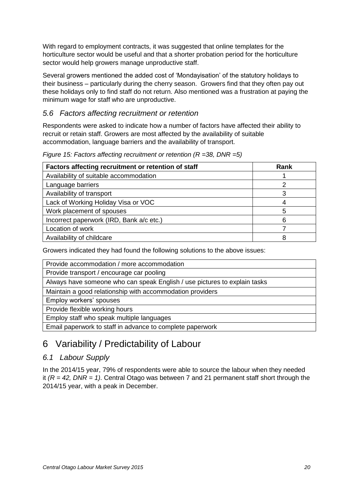With regard to employment contracts, it was suggested that online templates for the horticulture sector would be useful and that a shorter probation period for the horticulture sector would help growers manage unproductive staff.

Several growers mentioned the added cost of 'Mondayisation' of the statutory holidays to their business – particularly during the cherry season. Growers find that they often pay out these holidays only to find staff do not return. Also mentioned was a frustration at paying the minimum wage for staff who are unproductive.

#### *5.6 Factors affecting recruitment or retention*

Respondents were asked to indicate how a number of factors have affected their ability to recruit or retain staff. Growers are most affected by the availability of suitable accommodation, language barriers and the availability of transport.

| Factors affecting recruitment or retention of staff | Rank |
|-----------------------------------------------------|------|
| Availability of suitable accommodation              |      |
| Language barriers                                   |      |
| Availability of transport                           |      |
| Lack of Working Holiday Visa or VOC                 |      |
| Work placement of spouses                           | 5    |
| Incorrect paperwork (IRD, Bank a/c etc.)            | 6    |
| Location of work                                    |      |
| Availability of childcare                           |      |

*Figure 15: Factors affecting recruitment or retention (R =38, DNR =5)*

Growers indicated they had found the following solutions to the above issues:

| Provide accommodation / more accommodation                                |
|---------------------------------------------------------------------------|
| Provide transport / encourage car pooling                                 |
| Always have someone who can speak English / use pictures to explain tasks |
| Maintain a good relationship with accommodation providers                 |
| Employ workers' spouses                                                   |
| Provide flexible working hours                                            |
| Employ staff who speak multiple languages                                 |
| Email paperwork to staff in advance to complete paperwork                 |

# <span id="page-19-0"></span>6 Variability / Predictability of Labour

## *6.1 Labour Supply*

In the 2014/15 year, 79% of respondents were able to source the labour when they needed it *(R = 42, DNR = 1)*. Central Otago was between 7 and 21 permanent staff short through the 2014/15 year, with a peak in December.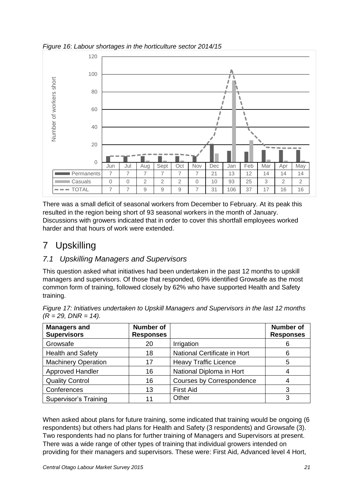*Figure 16*: *Labour shortages in the horticulture sector 2014/15*



There was a small deficit of seasonal workers from December to February. At its peak this resulted in the region being short of 93 seasonal workers in the month of January. Discussions with growers indicated that in order to cover this shortfall employees worked harder and that hours of work were extended.

# <span id="page-20-0"></span>7 Upskilling

## *7.1 Upskilling Managers and Supervisors*

This question asked what initiatives had been undertaken in the past 12 months to upskill managers and supervisors. Of those that responded*,* 69% identified Growsafe as the most common form of training, followed closely by 62% who have supported Health and Safety training.

*Figure 17: Initiatives undertaken to Upskill Managers and Supervisors in the last 12 months (R = 29, DNR = 14).*

| <b>Managers and</b><br><b>Supervisors</b> | Number of<br><b>Responses</b> |                                  | <b>Number of</b><br><b>Responses</b> |
|-------------------------------------------|-------------------------------|----------------------------------|--------------------------------------|
| Growsafe                                  | 20                            | Irrigation                       | 6                                    |
| <b>Health and Safety</b>                  | 18                            | National Certificate in Hort     | 6                                    |
| <b>Machinery Operation</b>                | 17                            | <b>Heavy Traffic Licence</b>     | 5                                    |
| Approved Handler                          | 16                            | National Diploma in Hort         | 4                                    |
| <b>Quality Control</b>                    | 16                            | <b>Courses by Correspondence</b> |                                      |
| Conferences                               | 13                            | <b>First Aid</b>                 | 3                                    |
| <b>Supervisor's Training</b>              | 11                            | Other                            | 3                                    |

When asked about plans for future training, some indicated that training would be ongoing (6 respondents) but others had plans for Health and Safety (3 respondents) and Growsafe (3). Two respondents had no plans for further training of Managers and Supervisors at present. There was a wide range of other types of training that individual growers intended on providing for their managers and supervisors. These were: First Aid, Advanced level 4 Hort,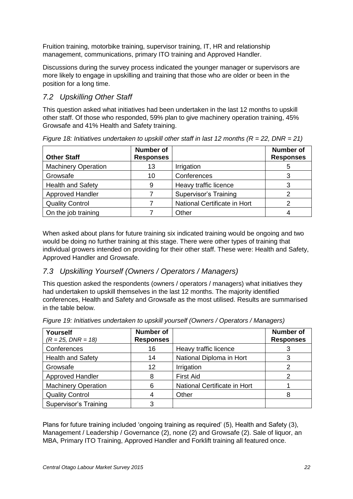Fruition training, motorbike training, supervisor training, IT, HR and relationship management, communications, primary ITO training and Approved Handler.

Discussions during the survey process indicated the younger manager or supervisors are more likely to engage in upskilling and training that those who are older or been in the position for a long time.

## *7.2 Upskilling Other Staff*

This question asked what initiatives had been undertaken in the last 12 months to upskill other staff. Of those who responded, 59% plan to give machinery operation training, 45% Growsafe and 41% Health and Safety training.

| <b>Other Staff</b>         | <b>Number of</b><br><b>Responses</b> |                              | <b>Number of</b><br><b>Responses</b> |
|----------------------------|--------------------------------------|------------------------------|--------------------------------------|
| <b>Machinery Operation</b> | 13                                   | Irrigation                   | 5                                    |
| Growsafe                   | 10                                   | Conferences                  |                                      |
| <b>Health and Safety</b>   | 9                                    | Heavy traffic licence        | 3                                    |
| Approved Handler           |                                      | <b>Supervisor's Training</b> |                                      |
| <b>Quality Control</b>     |                                      | National Certificate in Hort | 2                                    |
| On the job training        |                                      | Other                        |                                      |

*Figure 18: Initiatives undertaken to upskill other staff in last 12 months (R = 22, DNR = 21)*

When asked about plans for future training six indicated training would be ongoing and two would be doing no further training at this stage. There were other types of training that individual growers intended on providing for their other staff. These were: Health and Safety, Approved Handler and Growsafe.

## *7.3 Upskilling Yourself (Owners / Operators / Managers)*

This question asked the respondents (owners / operators / managers) what initiatives they had undertaken to upskill themselves in the last 12 months. The majority identified conferences, Health and Safety and Growsafe as the most utilised. Results are summarised in the table below.

| Yourself<br>$(R = 25, DNR = 18)$ | <b>Number of</b><br><b>Responses</b> |                              | <b>Number of</b><br><b>Responses</b> |
|----------------------------------|--------------------------------------|------------------------------|--------------------------------------|
| Conferences                      | 16                                   | Heavy traffic licence        |                                      |
| <b>Health and Safety</b>         | 14                                   | National Diploma in Hort     | 3                                    |
| Growsafe                         | 12                                   | Irrigation                   | 2                                    |
| <b>Approved Handler</b>          | 8                                    | <b>First Aid</b>             | 2                                    |
| <b>Machinery Operation</b>       | 6                                    | National Certificate in Hort |                                      |
| <b>Quality Control</b>           | 4                                    | Other                        | 8                                    |
| <b>Supervisor's Training</b>     | 3                                    |                              |                                      |

| Figure 19: Initiatives undertaken to upskill yourself (Owners / Operators / Managers) |  |
|---------------------------------------------------------------------------------------|--|
|---------------------------------------------------------------------------------------|--|

Plans for future training included 'ongoing training as required' (5), Health and Safety (3), Management / Leadership / Governance (2), none (2) and Growsafe (2). Sale of liquor, an MBA, Primary ITO Training, Approved Handler and Forklift training all featured once.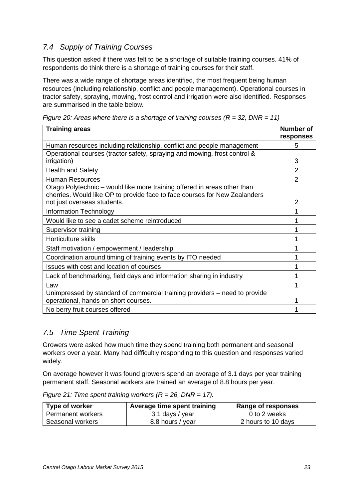## *7.4 Supply of Training Courses*

This question asked if there was felt to be a shortage of suitable training courses. 41% of respondents do think there is a shortage of training courses for their staff.

There was a wide range of shortage areas identified, the most frequent being human resources (including relationship, conflict and people management). Operational courses in tractor safety, spraying, mowing, frost control and irrigation were also identified. Responses are summarised in the table below.

| <b>Training areas</b>                                                                                                                                  | <b>Number of</b><br>responses |
|--------------------------------------------------------------------------------------------------------------------------------------------------------|-------------------------------|
| Human resources including relationship, conflict and people management                                                                                 | 5                             |
| Operational courses (tractor safety, spraying and mowing, frost control &                                                                              |                               |
| <i>irrigation</i> )                                                                                                                                    | 3                             |
| <b>Health and Safety</b>                                                                                                                               | $\overline{2}$                |
| Human Resources                                                                                                                                        | $\overline{2}$                |
| Otago Polytechnic – would like more training offered in areas other than<br>cherries. Would like OP to provide face to face courses for New Zealanders |                               |
| not just overseas students.                                                                                                                            | $\overline{2}$                |
| Information Technology                                                                                                                                 | 1                             |
| Would like to see a cadet scheme reintroduced                                                                                                          |                               |
| Supervisor training                                                                                                                                    |                               |
| Horticulture skills                                                                                                                                    |                               |
| Staff motivation / empowerment / leadership                                                                                                            |                               |
| Coordination around timing of training events by ITO needed                                                                                            |                               |
| Issues with cost and location of courses                                                                                                               |                               |
| Lack of benchmarking, field days and information sharing in industry                                                                                   |                               |
| Law                                                                                                                                                    |                               |
| Unimpressed by standard of commercial training providers – need to provide                                                                             |                               |
| operational, hands on short courses.                                                                                                                   |                               |
| No berry fruit courses offered                                                                                                                         |                               |

*Figure 20: Areas where there is a shortage of training courses (R = 32, DNR = 11)*

#### *7.5 Time Spent Training*

Growers were asked how much time they spend training both permanent and seasonal workers over a year. Many had difficultly responding to this question and responses varied widely.

On average however it was found growers spend an average of 3.1 days per year training permanent staff. Seasonal workers are trained an average of 8.8 hours per year.

*Figure 21: Time spent training workers (R = 26, DNR = 17).*

| Type of worker    | Average time spent training | Range of responses |
|-------------------|-----------------------------|--------------------|
| Permanent workers | 3.1 days / year             | 0 to 2 weeks       |
| Seasonal workers  | 8.8 hours / year            | 2 hours to 10 days |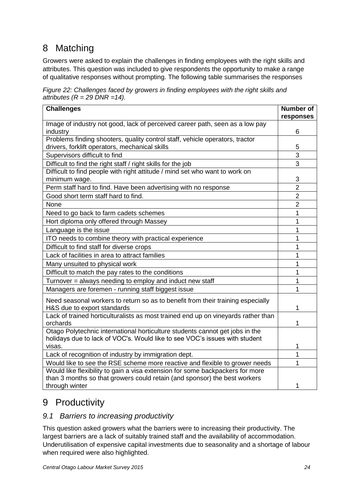# <span id="page-23-0"></span>8 Matching

Growers were asked to explain the challenges in finding employees with the right skills and attributes. This question was included to give respondents the opportunity to make a range of qualitative responses without prompting. The following table summarises the responses

*Figure 22: Challenges faced by growers in finding employees with the right skills and attributes (R = 29 DNR =14).*

| <b>Challenges</b>                                                                                                                           | Number of      |
|---------------------------------------------------------------------------------------------------------------------------------------------|----------------|
|                                                                                                                                             | responses      |
| Image of industry not good, lack of perceived career path, seen as a low pay                                                                |                |
| industry                                                                                                                                    | 6              |
| Problems finding shooters, quality control staff, vehicle operators, tractor<br>drivers, forklift operators, mechanical skills              | 5              |
| Supervisors difficult to find                                                                                                               | 3              |
|                                                                                                                                             | 3              |
| Difficult to find the right staff / right skills for the job<br>Difficult to find people with right attitude / mind set who want to work on |                |
| minimum wage.                                                                                                                               | 3              |
| Perm staff hard to find. Have been advertising with no response                                                                             | $\overline{2}$ |
| Good short term staff hard to find.                                                                                                         | $\overline{2}$ |
|                                                                                                                                             | $\overline{2}$ |
| None                                                                                                                                        |                |
| Need to go back to farm cadets schemes                                                                                                      | 1              |
| Hort diploma only offered through Massey                                                                                                    | 1              |
| Language is the issue                                                                                                                       | 1              |
| ITO needs to combine theory with practical experience                                                                                       | 1              |
| Difficult to find staff for diverse crops                                                                                                   | 1              |
| Lack of facilities in area to attract families                                                                                              | 1              |
| Many unsuited to physical work                                                                                                              | 1              |
| Difficult to match the pay rates to the conditions                                                                                          | 1              |
| Turnover = always needing to employ and induct new staff                                                                                    | 1              |
| Managers are foremen - running staff biggest issue                                                                                          | 1              |
| Need seasonal workers to return so as to benefit from their training especially                                                             |                |
| H&S due to export standards                                                                                                                 | 1              |
| Lack of trained horticulturalists as most trained end up on vineyards rather than                                                           |                |
| orchards                                                                                                                                    | 1              |
| Otago Polytechnic international horticulture students cannot get jobs in the                                                                |                |
| holidays due to lack of VOC's. Would like to see VOC's issues with student                                                                  |                |
| visas.                                                                                                                                      | 1              |
| Lack of recognition of industry by immigration dept.                                                                                        | 1              |
| Would like to see the RSE scheme more reactive and flexible to grower needs                                                                 | 1              |
| Would like flexibility to gain a visa extension for some backpackers for more                                                               |                |
| than 3 months so that growers could retain (and sponsor) the best workers                                                                   |                |
| through winter                                                                                                                              | 1              |

# <span id="page-23-1"></span>9 Productivity

#### *9.1 Barriers to increasing productivity*

This question asked growers what the barriers were to increasing their productivity. The largest barriers are a lack of suitably trained staff and the availability of accommodation. Underutilisation of expensive capital investments due to seasonality and a shortage of labour when required were also highlighted.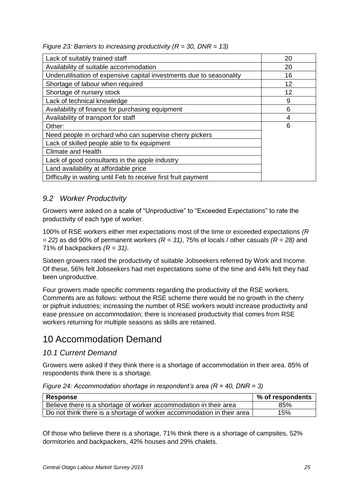|  | Figure 23: Barriers to increasing productivity ( $R = 30$ , DNR = 13) |  |
|--|-----------------------------------------------------------------------|--|
|--|-----------------------------------------------------------------------|--|

| Lack of suitably trained staff                                       | 20 |
|----------------------------------------------------------------------|----|
| Availability of suitable accommodation                               | 20 |
| Underutilisation of expensive capital investments due to seasonality | 16 |
| Shortage of labour when required                                     | 12 |
| Shortage of nursery stock                                            | 12 |
| Lack of technical knowledge                                          | 9  |
| Availability of finance for purchasing equipment                     | 6  |
| Availability of transport for staff                                  | 4  |
| Other:                                                               | 6  |
| Need people in orchard who can supervise cherry pickers              |    |
| Lack of skilled people able to fix equipment                         |    |
| <b>Climate and Health</b>                                            |    |
| Lack of good consultants in the apple industry                       |    |
| Land availability at affordable price                                |    |
| Difficulty in waiting until Feb to receive first fruit payment       |    |

## *9.2 Worker Productivity*

Growers were asked on a scale of "Unproductive" to "Exceeded Expectations" to rate the productivity of each type of worker.

100% of RSE workers either met expectations most of the time or exceeded expectations *(R = 22)* as did 90% of permanent workers *(R = 31)*, 75% of locals / other casuals *(R = 28)* and 71% of backpackers *(R = 31)*.

Sixteen growers rated the productivity of suitable Jobseekers referred by Work and Income. Of these, 56% felt Jobseekers had met expectations some of the time and 44% felt they had been unproductive.

Four growers made specific comments regarding the productivity of the RSE workers. Comments are as follows: without the RSE scheme there would be no growth in the cherry or pipfruit industries; increasing the number of RSE workers would increase productivity and ease pressure on accommodation; there is increased productivity that comes from RSE workers returning for multiple seasons as skills are retained.

## <span id="page-24-0"></span>10 Accommodation Demand

#### *10.1 Current Demand*

Growers were asked if they think there is a shortage of accommodation in their area. 85% of respondents think there is a shortage*.*

|  | Figure 24: Accommodation shortage in respondent's area ( $R = 40$ , DNR = 3) |  |
|--|------------------------------------------------------------------------------|--|
|--|------------------------------------------------------------------------------|--|

| <b>Response</b>                                                        | % of respondents |
|------------------------------------------------------------------------|------------------|
| Believe there is a shortage of worker accommodation in their area      | 85%              |
| Do not think there is a shortage of worker accommodation in their area | 15%              |

Of those who believe there is a shortage, 71% think there is a shortage of campsites, 52% dormitories and backpackers, 42% houses and 29% chalets.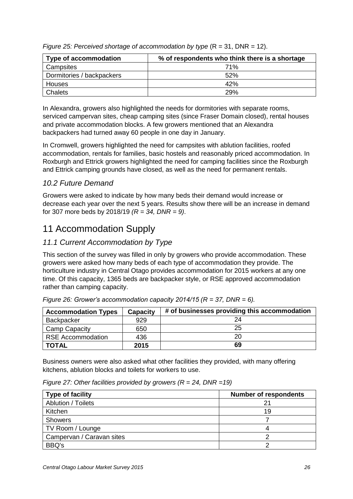| Figure 25: Perceived shortage of accommodation by type $(R = 31, DNR = 12)$ . |  |
|-------------------------------------------------------------------------------|--|
|-------------------------------------------------------------------------------|--|

| Type of accommodation     | % of respondents who think there is a shortage |
|---------------------------|------------------------------------------------|
| Campsites                 | 71%                                            |
| Dormitories / backpackers | 52%                                            |
| <b>Houses</b>             | 42%                                            |
| <b>Chalets</b>            | 29%                                            |

In Alexandra, growers also highlighted the needs for dormitories with separate rooms, serviced campervan sites, cheap camping sites (since Fraser Domain closed), rental houses and private accommodation blocks. A few growers mentioned that an Alexandra backpackers had turned away 60 people in one day in January.

In Cromwell, growers highlighted the need for campsites with ablution facilities, roofed accommodation, rentals for families, basic hostels and reasonably priced accommodation. In Roxburgh and Ettrick growers highlighted the need for camping facilities since the Roxburgh and Ettrick camping grounds have closed, as well as the need for permanent rentals.

#### *10.2 Future Demand*

Growers were asked to indicate by how many beds their demand would increase or decrease each year over the next 5 years. Results show there will be an increase in demand for 307 more beds by 2018/19 *(R = 34, DNR = 9)*.

# <span id="page-25-0"></span>11 Accommodation Supply

## *11.1 Current Accommodation by Type*

This section of the survey was filled in only by growers who provide accommodation. These growers were asked how many beds of each type of accommodation they provide. The horticulture industry in Central Otago provides accommodation for 2015 workers at any one time. Of this capacity, 1365 beds are backpacker style, or RSE approved accommodation rather than camping capacity.

| <b>Accommodation Types</b> | Capacity | # of businesses providing this accommodation |
|----------------------------|----------|----------------------------------------------|
| Backpacker                 | 929      |                                              |
| Camp Capacity              | 650      | 25                                           |
| <b>RSE Accommodation</b>   | 436      |                                              |
| <b>TOTAL</b>               | 2015     | 69                                           |

*Figure 26: Grower's accommodation capacity 2014/15 (R = 37, DNR = 6).* 

Business owners were also asked what other facilities they provided, with many offering kitchens, ablution blocks and toilets for workers to use.

*Figure 27: Other facilities provided by growers (R = 24, DNR =19)*

| <b>Type of facility</b>   | <b>Number of respondents</b> |
|---------------------------|------------------------------|
| Ablution / Toilets        |                              |
| Kitchen                   | 19                           |
| <b>Showers</b>            |                              |
| TV Room / Lounge          |                              |
| Campervan / Caravan sites |                              |
| BBQ's                     |                              |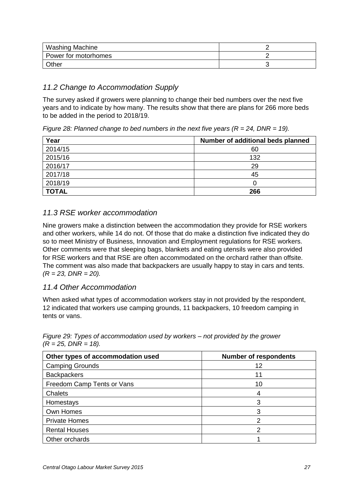| <b>Washing Machine</b> |  |
|------------------------|--|
| Power for motorhomes   |  |
| Other                  |  |

#### *11.2 Change to Accommodation Supply*

The survey asked if growers were planning to change their bed numbers over the next five years and to indicate by how many. The results show that there are plans for 266 more beds to be added in the period to 2018/19.

*Figure 28: Planned change to bed numbers in the next five years (R = 24, DNR = 19).*

| Year         | Number of additional beds planned |
|--------------|-----------------------------------|
| 2014/15      | 60                                |
| 2015/16      | 132                               |
| 2016/17      | 29                                |
| 2017/18      | 45                                |
| 2018/19      |                                   |
| <b>TOTAL</b> | 266                               |

#### *11.3 RSE worker accommodation*

Nine growers make a distinction between the accommodation they provide for RSE workers and other workers, while 14 do not. Of those that do make a distinction five indicated they do so to meet Ministry of Business, Innovation and Employment regulations for RSE workers. Other comments were that sleeping bags, blankets and eating utensils were also provided for RSE workers and that RSE are often accommodated on the orchard rather than offsite. The comment was also made that backpackers are usually happy to stay in cars and tents. *(R = 23, DNR = 20).*

#### *11.4 Other Accommodation*

When asked what types of accommodation workers stay in not provided by the respondent, 12 indicated that workers use camping grounds, 11 backpackers, 10 freedom camping in tents or vans.

| Other types of accommodation used | <b>Number of respondents</b> |
|-----------------------------------|------------------------------|
| <b>Camping Grounds</b>            | 12                           |
| <b>Backpackers</b>                | 11                           |
| Freedom Camp Tents or Vans        | 10                           |
| <b>Chalets</b>                    |                              |
| Homestays                         | 3                            |
| Own Homes                         | 3                            |
| <b>Private Homes</b>              | າ                            |
| <b>Rental Houses</b>              |                              |
| Other orchards                    |                              |

*Figure 29: Types of accommodation used by workers – not provided by the grower (R = 25, DNR = 18).*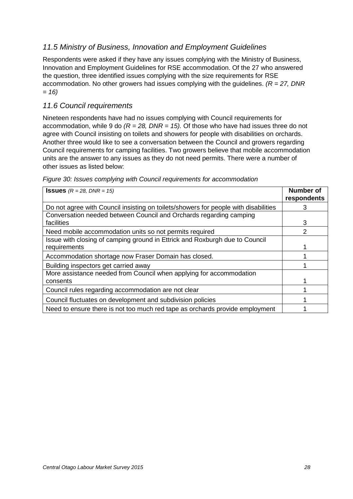## *11.5 Ministry of Business, Innovation and Employment Guidelines*

Respondents were asked if they have any issues complying with the Ministry of Business, Innovation and Employment Guidelines for RSE accommodation. Of the 27 who answered the question, three identified issues complying with the size requirements for RSE accommodation. No other growers had issues complying with the guidelines. *(R = 27, DNR = 16)* 

#### *11.6 Council requirements*

Nineteen respondents have had no issues complying with Council requirements for accommodation, while 9 do *(R = 28, DNR = 15).* Of those who have had issues three do not agree with Council insisting on toilets and showers for people with disabilities on orchards. Another three would like to see a conversation between the Council and growers regarding Council requirements for camping facilities. Two growers believe that mobile accommodation units are the answer to any issues as they do not need permits. There were a number of other issues as listed below:

<span id="page-27-0"></span>

| <b>ISSUES</b> $(R = 28, DNR = 15)$                                                  | Number of<br>respondents |
|-------------------------------------------------------------------------------------|--------------------------|
| Do not agree with Council insisting on toilets/showers for people with disabilities | 3                        |
| Conversation needed between Council and Orchards regarding camping                  |                          |
| facilities                                                                          | 3                        |
| Need mobile accommodation units so not permits required                             | $\mathcal{P}$            |
| Issue with closing of camping ground in Ettrick and Roxburgh due to Council         |                          |
| requirements                                                                        |                          |
| Accommodation shortage now Fraser Domain has closed.                                |                          |
| Building inspectors get carried away                                                |                          |
| More assistance needed from Council when applying for accommodation                 |                          |
| consents                                                                            |                          |
| Council rules regarding accommodation are not clear                                 |                          |
| Council fluctuates on development and subdivision policies                          |                          |
| Need to ensure there is not too much red tape as orchards provide employment        |                          |

*Figure 30: Issues complying with Council requirements for accommodation*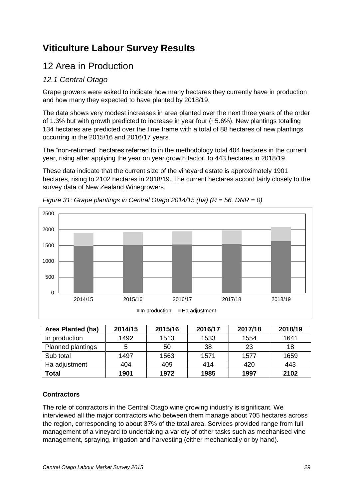# **Viticulture Labour Survey Results**

# <span id="page-28-0"></span>12 Area in Production

## *12.1 Central Otago*

Grape growers were asked to indicate how many hectares they currently have in production and how many they expected to have planted by 2018/19.

The data shows very modest increases in area planted over the next three years of the order of 1.3% but with growth predicted to increase in year four (+5.6%). New plantings totalling 134 hectares are predicted over the time frame with a total of 88 hectares of new plantings occurring in the 2015/16 and 2016/17 years.

The "non-returned" hectares referred to in the methodology total 404 hectares in the current year, rising after applying the year on year growth factor, to 443 hectares in 2018/19.

These data indicate that the current size of the vineyard estate is approximately 1901 hectares, rising to 2102 hectares in 2018/19. The current hectares accord fairly closely to the survey data of New Zealand Winegrowers.



*Figure 31*: *Grape plantings in Central Otago 2014/15 (ha) (R = 56, DNR = 0)*

| <b>Area Planted (ha)</b> | 2014/15 | 2015/16 | 2016/17 | 2017/18 | 2018/19 |
|--------------------------|---------|---------|---------|---------|---------|
| In production            | 1492    | 1513    | 1533    | 1554    | 1641    |
| <b>Planned plantings</b> | 5       | 50      | 38      | 23      | 18      |
| Sub total                | 1497    | 1563    | 1571    | 1577    | 1659    |
| Ha adjustment            | 404     | 409     | 414     | 420     | 443     |
| <b>Total</b>             | 1901    | 1972    | 1985    | 1997    | 2102    |

#### **Contractors**

The role of contractors in the Central Otago wine growing industry is significant. We interviewed all the major contractors who between them manage about 705 hectares across the region, corresponding to about 37% of the total area. Services provided range from full management of a vineyard to undertaking a variety of other tasks such as mechanised vine management, spraying, irrigation and harvesting (either mechanically or by hand).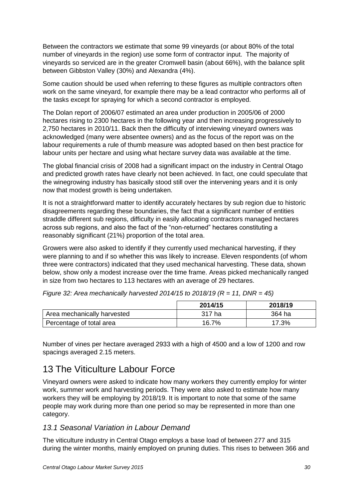Between the contractors we estimate that some 99 vineyards (or about 80% of the total number of vineyards in the region) use some form of contractor input. The majority of vineyards so serviced are in the greater Cromwell basin (about 66%), with the balance split between Gibbston Valley (30%) and Alexandra (4%).

Some caution should be used when referring to these figures as multiple contractors often work on the same vineyard, for example there may be a lead contractor who performs all of the tasks except for spraying for which a second contractor is employed.

The Dolan report of 2006/07 estimated an area under production in 2005/06 of 2000 hectares rising to 2300 hectares in the following year and then increasing progressively to 2,750 hectares in 2010/11. Back then the difficulty of interviewing vineyard owners was acknowledged (many were absentee owners) and as the focus of the report was on the labour requirements a rule of thumb measure was adopted based on then best practice for labour units per hectare and using what hectare survey data was available at the time.

The global financial crisis of 2008 had a significant impact on the industry in Central Otago and predicted growth rates have clearly not been achieved. In fact, one could speculate that the winegrowing industry has basically stood still over the intervening years and it is only now that modest growth is being undertaken.

It is not a straightforward matter to identify accurately hectares by sub region due to historic disagreements regarding these boundaries, the fact that a significant number of entities straddle different sub regions, difficulty in easily allocating contractors managed hectares across sub regions, and also the fact of the "non-returned" hectares constituting a reasonably significant (21%) proportion of the total area.

Growers were also asked to identify if they currently used mechanical harvesting, if they were planning to and if so whether this was likely to increase. Eleven respondents (of whom three were contractors) indicated that they used mechanical harvesting. These data, shown below, show only a modest increase over the time frame. Areas picked mechanically ranged in size from two hectares to 113 hectares with an average of 29 hectares.

|                             | 2014/15 | 2018/19 |
|-----------------------------|---------|---------|
| Area mechanically harvested | 317 ha  | 364 ha  |
| Percentage of total area    | 16.7%   | 17.3%   |

*Figure 32: Area mechanically harvested 2014/15 to 2018/19 (R = 11, DNR = 45)*

Number of vines per hectare averaged 2933 with a high of 4500 and a low of 1200 and row spacings averaged 2.15 meters.

# <span id="page-29-0"></span>13 The Viticulture Labour Force

Vineyard owners were asked to indicate how many workers they currently employ for winter work, summer work and harvesting periods. They were also asked to estimate how many workers they will be employing by 2018/19. It is important to note that some of the same people may work during more than one period so may be represented in more than one category.

## *13.1 Seasonal Variation in Labour Demand*

The viticulture industry in Central Otago employs a base load of between 277 and 315 during the winter months, mainly employed on pruning duties. This rises to between 366 and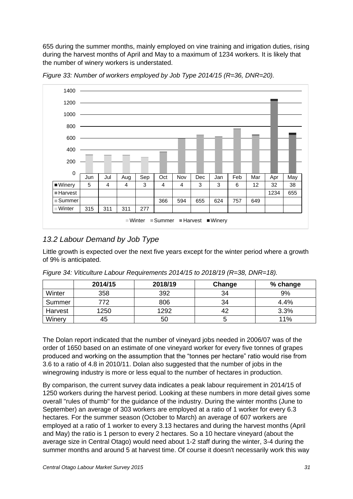655 during the summer months, mainly employed on vine training and irrigation duties, rising during the harvest months of April and May to a maximum of 1234 workers. It is likely that the number of winery workers is understated.



*Figure 33: Number of workers employed by Job Type 2014/15 (R=36, DNR=20).*

## *13.2 Labour Demand by Job Type*

Little growth is expected over the next five years except for the winter period where a growth of 9% is anticipated.

|         | 2014/15 | 2018/19 | Change | % change |
|---------|---------|---------|--------|----------|
| Winter  | 358     | 392     | 34     | 9%       |
| Summer  | 772     | 806     | 34     | 4.4%     |
| Harvest | 1250    | 1292    | 42     | 3.3%     |
| Winery  | 45      | 50      |        | 11%      |

*Figure 34: Viticulture Labour Requirements 2014/15 to 2018/19 (R=38, DNR=18).*

The Dolan report indicated that the number of vineyard jobs needed in 2006/07 was of the order of 1650 based on an estimate of one vineyard worker for every five tonnes of grapes produced and working on the assumption that the "tonnes per hectare" ratio would rise from 3.6 to a ratio of 4.8 in 2010/11. Dolan also suggested that the number of jobs in the winegrowing industry is more or less equal to the number of hectares in production.

By comparison, the current survey data indicates a peak labour requirement in 2014/15 of 1250 workers during the harvest period. Looking at these numbers in more detail gives some overall "rules of thumb" for the guidance of the industry. During the winter months (June to September) an average of 303 workers are employed at a ratio of 1 worker for every 6.3 hectares. For the summer season (October to March) an average of 607 workers are employed at a ratio of 1 worker to every 3.13 hectares and during the harvest months (April and May) the ratio is 1 person to every 2 hectares. So a 10 hectare vineyard (about the average size in Central Otago) would need about 1-2 staff during the winter, 3-4 during the summer months and around 5 at harvest time. Of course it doesn't necessarily work this way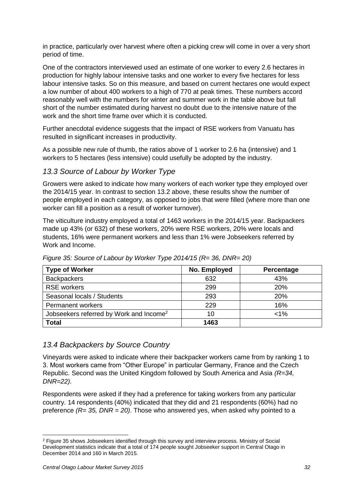in practice, particularly over harvest where often a picking crew will come in over a very short period of time.

One of the contractors interviewed used an estimate of one worker to every 2.6 hectares in production for highly labour intensive tasks and one worker to every five hectares for less labour intensive tasks. So on this measure, and based on current hectares one would expect a low number of about 400 workers to a high of 770 at peak times. These numbers accord reasonably well with the numbers for winter and summer work in the table above but fall short of the number estimated during harvest no doubt due to the intensive nature of the work and the short time frame over which it is conducted.

Further anecdotal evidence suggests that the impact of RSE workers from Vanuatu has resulted in significant increases in productivity.

As a possible new rule of thumb, the ratios above of 1 worker to 2.6 ha (intensive) and 1 workers to 5 hectares (less intensive) could usefully be adopted by the industry.

#### *13.3 Source of Labour by Worker Type*

Growers were asked to indicate how many workers of each worker type they employed over the 2014/15 year. In contrast to section 13.2 above, these results show the number of people employed in each category, as opposed to jobs that were filled (where more than one worker can fill a position as a result of worker turnover).

The viticulture industry employed a total of 1463 workers in the 2014/15 year. Backpackers made up 43% (or 632) of these workers, 20% were RSE workers, 20% were locals and students, 16% were permanent workers and less than 1% were Jobseekers referred by Work and Income.

| <b>Type of Worker</b>                               | No. Employed | Percentage |
|-----------------------------------------------------|--------------|------------|
| <b>Backpackers</b>                                  | 632          | 43%        |
| <b>RSE</b> workers                                  | 299          | <b>20%</b> |
| Seasonal locals / Students                          | 293          | 20%        |
| <b>Permanent workers</b>                            | 229          | 16%        |
| Jobseekers referred by Work and Income <sup>2</sup> | 10           | $< 1\%$    |
| <b>Total</b>                                        | 1463         |            |

*Figure 35: Source of Labour by Worker Type 2014/15 (R= 36, DNR= 20)*

#### *13.4 Backpackers by Source Country*

Vineyards were asked to indicate where their backpacker workers came from by ranking 1 to 3. Most workers came from "Other Europe" in particular Germany, France and the Czech Republic. Second was the United Kingdom followed by South America and Asia *(R=34, DNR=22).*

Respondents were asked if they had a preference for taking workers from any particular country. 14 respondents (40%) indicated that they did and 21 respondents (60%) had no preference *(R= 35, DNR = 20)*. Those who answered yes, when asked why pointed to a

<sup>-</sup><sup>2</sup> Figure 35 shows Jobseekers identified through this survey and interview process. Ministry of Social Development statistics indicate that a total of 174 people sought Jobseeker support in Central Otago in December 2014 and 160 in March 2015.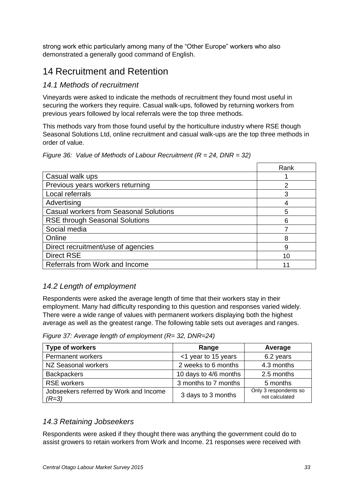strong work ethic particularly among many of the "Other Europe" workers who also demonstrated a generally good command of English.

# <span id="page-32-0"></span>14 Recruitment and Retention

## *14.1 Methods of recruitment*

Vineyards were asked to indicate the methods of recruitment they found most useful in securing the workers they require. Casual walk-ups, followed by returning workers from previous years followed by local referrals were the top three methods.

This methods vary from those found useful by the horticulture industry where RSE though Seasonal Solutions Ltd, online recruitment and casual walk-ups are the top three methods in order of value.

|                                               | Rank |
|-----------------------------------------------|------|
| Casual walk ups                               |      |
| Previous years workers returning              | 2    |
| Local referrals                               | 3    |
| Advertising                                   | 4    |
| <b>Casual workers from Seasonal Solutions</b> | 5    |
| <b>RSE through Seasonal Solutions</b>         | 6    |
| Social media                                  |      |
| Online                                        | 8    |
| Direct recruitment/use of agencies            | 9    |
| <b>Direct RSE</b>                             | 10   |
| Referrals from Work and Income                | 11   |

*Figure 36: Value of Methods of Labour Recruitment (R = 24, DNR = 32)*

## *14.2 Length of employment*

Respondents were asked the average length of time that their workers stay in their employment. Many had difficulty responding to this question and responses varied widely. There were a wide range of values with permanent workers displaying both the highest average as well as the greatest range. The following table sets out averages and ranges.

*Figure 37: Average length of employment (R= 32, DNR=24)*

| Type of workers                                   | Range                 | Average                                 |
|---------------------------------------------------|-----------------------|-----------------------------------------|
| Permanent workers                                 | <1 year to 15 years   | 6.2 years                               |
| NZ Seasonal workers                               | 2 weeks to 6 months   | 4.3 months                              |
| <b>Backpackers</b>                                | 10 days to 4/6 months | 2.5 months                              |
| <b>RSE</b> workers                                | 3 months to 7 months  | 5 months                                |
| Jobseekers referred by Work and Income<br>$(R=3)$ | 3 days to 3 months    | Only 3 respondents so<br>not calculated |

## *14.3 Retaining Jobseekers*

Respondents were asked if they thought there was anything the government could do to assist growers to retain workers from Work and Income. 21 responses were received with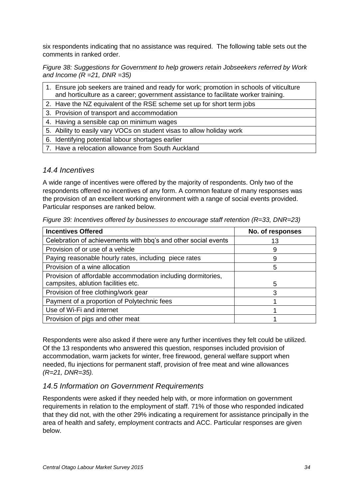six respondents indicating that no assistance was required. The following table sets out the comments in ranked order.

*Figure 38: Suggestions for Government to help growers retain Jobseekers referred by Work and Income (R =21, DNR =35)*

- 1. Ensure job seekers are trained and ready for work; promotion in schools of viticulture and horticulture as a career; government assistance to facilitate worker training.
- 2. Have the NZ equivalent of the RSE scheme set up for short term jobs
- 3. Provision of transport and accommodation
- 4. Having a sensible cap on minimum wages
- 5. Ability to easily vary VOCs on student visas to allow holiday work
- 6. Identifying potential labour shortages earlier
- 7. Have a relocation allowance from South Auckland

#### *14.4 Incentives*

A wide range of incentives were offered by the majority of respondents. Only two of the respondents offered no incentives of any form. A common feature of many responses was the provision of an excellent working environment with a range of social events provided. Particular responses are ranked below.

| <b>Incentives Offered</b>                                      | No. of responses |
|----------------------------------------------------------------|------------------|
| Celebration of achievements with bbq's and other social events | 13               |
| Provision of or use of a vehicle                               | 9                |
| Paying reasonable hourly rates, including piece rates          |                  |
| Provision of a wine allocation                                 | 5                |
| Provision of affordable accommodation including dormitories,   |                  |
| campsites, ablution facilities etc.                            | 5                |
| Provision of free clothing/work gear                           |                  |
| Payment of a proportion of Polytechnic fees                    |                  |
| Use of Wi-Fi and internet                                      |                  |
| Provision of pigs and other meat                               |                  |

*Figure 39: Incentives offered by businesses to encourage staff retention (R=33, DNR=23)*

Respondents were also asked if there were any further incentives they felt could be utilized. Of the 13 respondents who answered this question, responses included provision of accommodation, warm jackets for winter, free firewood, general welfare support when needed, flu injections for permanent staff, provision of free meat and wine allowances *(R=21, DNR=35).*

#### *14.5 Information on Government Requirements*

Respondents were asked if they needed help with, or more information on government requirements in relation to the employment of staff. 71% of those who responded indicated that they did not, with the other 29% indicating a requirement for assistance principally in the area of health and safety, employment contracts and ACC. Particular responses are given below.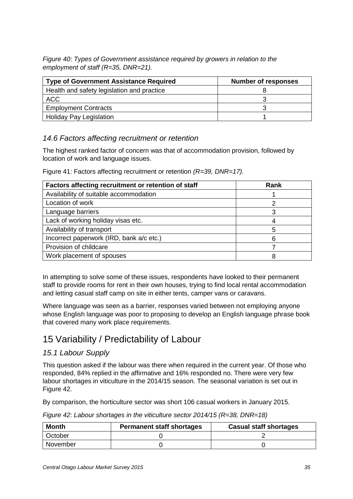*Figure 40*: *Types of Government assistance required by growers in relation to the employment of staff (R=35, DNR=21).*

| <b>Type of Government Assistance Required</b> | <b>Number of responses</b> |
|-----------------------------------------------|----------------------------|
| Health and safety legislation and practice    |                            |
| <b>ACC</b>                                    |                            |
| <b>Employment Contracts</b>                   |                            |
| <b>Holiday Pay Legislation</b>                |                            |

#### *14.6 Factors affecting recruitment or retention*

The highest ranked factor of concern was that of accommodation provision, followed by location of work and language issues.

Figure 41: Factors affecting recruitment or retention *(R=39, DNR=17).*

| Factors affecting recruitment or retention of staff | Rank |
|-----------------------------------------------------|------|
| Availability of suitable accommodation              |      |
| Location of work                                    | 2    |
| Language barriers                                   | 3    |
| Lack of working holiday visas etc.                  | 4    |
| Availability of transport                           | 5    |
| Incorrect paperwork (IRD, bank a/c etc.)            | 6    |
| Provision of childcare                              |      |
| Work placement of spouses                           |      |

In attempting to solve some of these issues, respondents have looked to their permanent staff to provide rooms for rent in their own houses, trying to find local rental accommodation and letting casual staff camp on site in either tents, camper vans or caravans.

Where language was seen as a barrier, responses varied between not employing anyone whose English language was poor to proposing to develop an English language phrase book that covered many work place requirements.

## <span id="page-34-0"></span>15 Variability / Predictability of Labour

#### *15.1 Labour Supply*

This question asked if the labour was there when required in the current year. Of those who responded, 84% replied in the affirmative and 16% responded no. There were very few labour shortages in viticulture in the 2014/15 season. The seasonal variation is set out in Figure 42.

By comparison, the horticulture sector was short 106 casual workers in January 2015.

| Figure 42: Labour shortages in the viticulture sector 2014/15 (R=38, DNR=18) |  |  |  |  |
|------------------------------------------------------------------------------|--|--|--|--|
|                                                                              |  |  |  |  |

| <b>Month</b> | <b>Permanent staff shortages</b> | <b>Casual staff shortages</b> |
|--------------|----------------------------------|-------------------------------|
| October      |                                  |                               |
| November     |                                  |                               |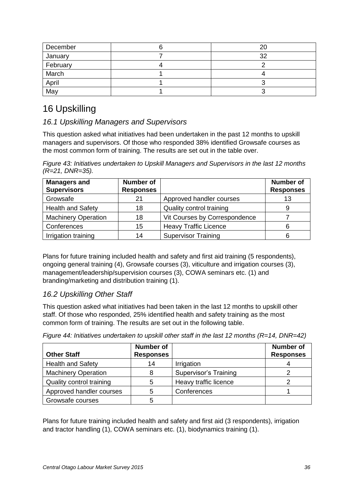| December | 20 |
|----------|----|
| January  | つ  |
| February |    |
| March    |    |
| April    |    |
| May      |    |

# <span id="page-35-0"></span>16 Upskilling

## *16.1 Upskilling Managers and Supervisors*

This question asked what initiatives had been undertaken in the past 12 months to upskill managers and supervisors. Of those who responded 38% identified Growsafe courses as the most common form of training. The results are set out in the table over.

*Figure 43: Initiatives undertaken to Upskill Managers and Supervisors in the last 12 months (R=21, DNR=35).*

| <b>Managers and</b><br><b>Supervisors</b> | <b>Number of</b><br><b>Responses</b> |                               | <b>Number of</b><br><b>Responses</b> |
|-------------------------------------------|--------------------------------------|-------------------------------|--------------------------------------|
| Growsafe                                  | 21                                   | Approved handler courses      | 13                                   |
| <b>Health and Safety</b>                  | 18                                   | Quality control training      |                                      |
| <b>Machinery Operation</b>                | 18                                   | Vit Courses by Correspondence |                                      |
| Conferences                               | 15                                   | <b>Heavy Traffic Licence</b>  |                                      |
| Irrigation training                       | 14                                   | <b>Supervisor Training</b>    |                                      |

Plans for future training included health and safety and first aid training (5 respondents), ongoing general training (4), Growsafe courses (3), viticulture and irrigation courses (3), management/leadership/supervision courses (3), COWA seminars etc. (1) and branding/marketing and distribution training (1).

## *16.2 Upskilling Other Staff*

This question asked what initiatives had been taken in the last 12 months to upskill other staff. Of those who responded, 25% identified health and safety training as the most common form of training. The results are set out in the following table.

| <b>Other Staff</b>         | <b>Number of</b><br><b>Responses</b> |                              | <b>Number of</b><br><b>Responses</b> |
|----------------------------|--------------------------------------|------------------------------|--------------------------------------|
| <b>Health and Safety</b>   | 14                                   | Irrigation                   |                                      |
| <b>Machinery Operation</b> | 8                                    | <b>Supervisor's Training</b> |                                      |
| Quality control training   | 5                                    | Heavy traffic licence        |                                      |
| Approved handler courses   | 5                                    | Conferences                  |                                      |
| Growsafe courses           | 5                                    |                              |                                      |

*Figure 44: Initiatives undertaken to upskill other staff in the last 12 months (R=14, DNR=42)*

Plans for future training included health and safety and first aid (3 respondents), irrigation and tractor handling (1), COWA seminars etc. (1), biodynamics training (1).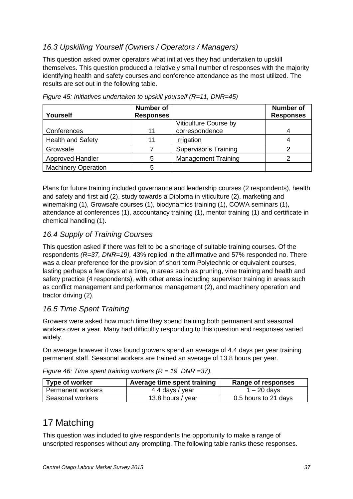## *16.3 Upskilling Yourself (Owners / Operators / Managers)*

This question asked owner operators what initiatives they had undertaken to upskill themselves. This question produced a relatively small number of responses with the majority identifying health and safety courses and conference attendance as the most utilized. The results are set out in the following table.

| Yourself                   | <b>Number of</b><br><b>Responses</b> |                              | <b>Number of</b><br><b>Responses</b> |
|----------------------------|--------------------------------------|------------------------------|--------------------------------------|
|                            |                                      | Viticulture Course by        |                                      |
| Conferences                | 11                                   | correspondence               |                                      |
| <b>Health and Safety</b>   | 11                                   | Irrigation                   |                                      |
| Growsafe                   |                                      | <b>Supervisor's Training</b> |                                      |
| Approved Handler           | 5                                    | <b>Management Training</b>   |                                      |
| <b>Machinery Operation</b> | 5                                    |                              |                                      |

*Figure 45: Initiatives undertaken to upskill yourself (R=11, DNR=45)*

Plans for future training included governance and leadership courses (2 respondents), health and safety and first aid (2), study towards a Diploma in viticulture (2), marketing and winemaking (1), Growsafe courses (1), biodynamics training (1), COWA seminars (1), attendance at conferences (1), accountancy training (1), mentor training (1) and certificate in chemical handling (1).

## *16.4 Supply of Training Courses*

This question asked if there was felt to be a shortage of suitable training courses. Of the respondents *(R=37, DNR=19),* 43% replied in the affirmative and 57% responded no. There was a clear preference for the provision of short term Polytechnic or equivalent courses, lasting perhaps a few days at a time, in areas such as pruning, vine training and health and safety practice (4 respondents), with other areas including supervisor training in areas such as conflict management and performance management (2), and machinery operation and tractor driving (2).

## *16.5 Time Spent Training*

Growers were asked how much time they spend training both permanent and seasonal workers over a year. Many had difficultly responding to this question and responses varied widely.

On average however it was found growers spend an average of 4.4 days per year training permanent staff. Seasonal workers are trained an average of 13.8 hours per year.

| Type of worker    | Average time spent training | Range of responses   |
|-------------------|-----------------------------|----------------------|
| Permanent workers | 4.4 days / year             | $1 - 20$ days        |
| Seasonal workers  | 13.8 hours / year           | 0.5 hours to 21 days |

*Figure 46: Time spent training workers (R = 19, DNR =37).*

# <span id="page-36-0"></span>17 Matching

This question was included to give respondents the opportunity to make a range of unscripted responses without any prompting. The following table ranks these responses.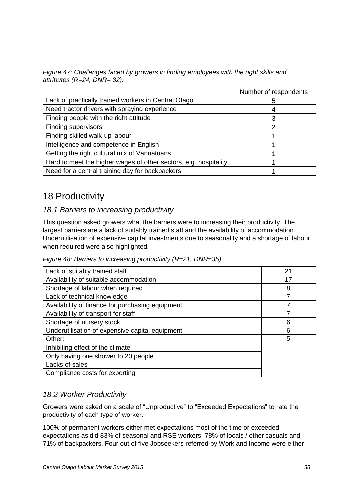*Figure 47: Challenges faced by growers in finding employees with the right skills and attributes (R=24, DNR= 32).* 

|                                                                  | Number of respondents |
|------------------------------------------------------------------|-----------------------|
| Lack of practically trained workers in Central Otago             |                       |
| Need tractor drivers with spraying experience                    |                       |
| Finding people with the right attitude                           |                       |
| Finding supervisors                                              |                       |
| Finding skilled walk-up labour                                   |                       |
| Intelligence and competence in English                           |                       |
| Getting the right cultural mix of Vanuatuans                     |                       |
| Hard to meet the higher wages of other sectors, e.g. hospitality |                       |
| Need for a central training day for backpackers                  |                       |

## <span id="page-37-0"></span>18 Productivity

#### *18.1 Barriers to increasing productivity*

This question asked growers what the barriers were to increasing their productivity. The largest barriers are a lack of suitably trained staff and the availability of accommodation. Underutilisation of expensive capital investments due to seasonality and a shortage of labour when required were also highlighted.

*Figure 48: Barriers to increasing productivity (R=21, DNR=35)*

| Lack of suitably trained staff                   | 21 |
|--------------------------------------------------|----|
| Availability of suitable accommodation           | 17 |
| Shortage of labour when required                 | 8  |
| Lack of technical knowledge                      | 7  |
| Availability of finance for purchasing equipment |    |
| Availability of transport for staff              |    |
| Shortage of nursery stock                        | 6  |
| Underutilisation of expensive capital equipment  | 6  |
| Other:                                           | 5  |
| Inhibiting effect of the climate                 |    |
| Only having one shower to 20 people              |    |
| Lacks of sales                                   |    |
| Compliance costs for exporting                   |    |

#### *18.2 Worker Productivity*

Growers were asked on a scale of "Unproductive" to "Exceeded Expectations" to rate the productivity of each type of worker.

100% of permanent workers either met expectations most of the time or exceeded expectations as did 83% of seasonal and RSE workers, 78% of locals / other casuals and 71% of backpackers. Four out of five Jobseekers referred by Work and Income were either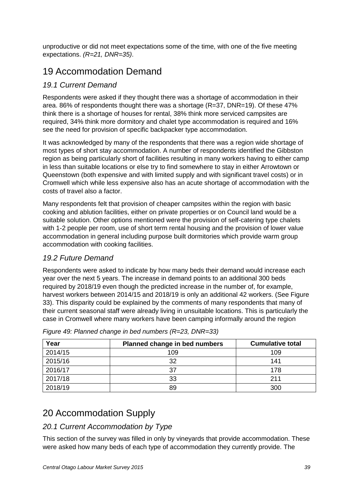unproductive or did not meet expectations some of the time, with one of the five meeting expectations. *(R=21, DNR=35)*.

# <span id="page-38-0"></span>19 Accommodation Demand

#### *19.1 Current Demand*

Respondents were asked if they thought there was a shortage of accommodation in their area. 86% of respondents thought there was a shortage (R=37, DNR=19). Of these 47% think there is a shortage of houses for rental, 38% think more serviced campsites are required, 34% think more dormitory and chalet type accommodation is required and 16% see the need for provision of specific backpacker type accommodation.

It was acknowledged by many of the respondents that there was a region wide shortage of most types of short stay accommodation. A number of respondents identified the Gibbston region as being particularly short of facilities resulting in many workers having to either camp in less than suitable locations or else try to find somewhere to stay in either Arrowtown or Queenstown (both expensive and with limited supply and with significant travel costs) or in Cromwell which while less expensive also has an acute shortage of accommodation with the costs of travel also a factor.

Many respondents felt that provision of cheaper campsites within the region with basic cooking and ablution facilities, either on private properties or on Council land would be a suitable solution. Other options mentioned were the provision of self-catering type chalets with 1-2 people per room, use of short term rental housing and the provision of lower value accommodation in general including purpose built dormitories which provide warm group accommodation with cooking facilities.

#### *19.2 Future Demand*

Respondents were asked to indicate by how many beds their demand would increase each year over the next 5 years. The increase in demand points to an additional 300 beds required by 2018/19 even though the predicted increase in the number of, for example, harvest workers between 2014/15 and 2018/19 is only an additional 42 workers. (See Figure 33). This disparity could be explained by the comments of many respondents that many of their current seasonal staff were already living in unsuitable locations. This is particularly the case in Cromwell where many workers have been camping informally around the region

| Year    | Planned change in bed numbers | <b>Cumulative total</b> |
|---------|-------------------------------|-------------------------|
| 2014/15 | 109                           | 109                     |
| 2015/16 | 32                            | 141                     |
| 2016/17 | 37                            | 178                     |
| 2017/18 | 33                            | 211                     |
| 2018/19 | 89                            | 300                     |

| Figure 49: Planned change in bed numbers (R=23, DNR=33) |  |  |
|---------------------------------------------------------|--|--|
|                                                         |  |  |

# <span id="page-38-1"></span>20 Accommodation Supply

#### *20.1 Current Accommodation by Type*

This section of the survey was filled in only by vineyards that provide accommodation. These were asked how many beds of each type of accommodation they currently provide. The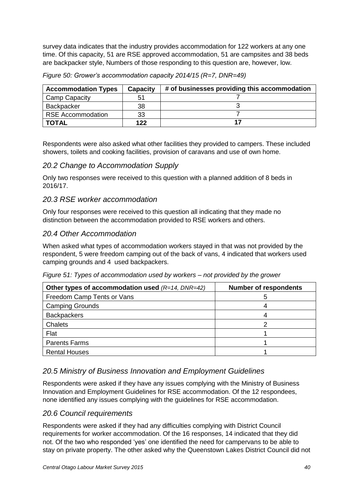survey data indicates that the industry provides accommodation for 122 workers at any one time. Of this capacity, 51 are RSE approved accommodation, 51 are campsites and 38 beds are backpacker style, Numbers of those responding to this question are, however, low.

| <b>Accommodation Types</b> | Capacity | # of businesses providing this accommodation |
|----------------------------|----------|----------------------------------------------|
| Camp Capacity              | 51       |                                              |
| Backpacker                 | 38       |                                              |
| <b>RSE Accommodation</b>   | 33       |                                              |
| <b>TOTAL</b>               | 122      |                                              |

*Figure 50: Grower's accommodation capacity 2014/15 (R=7, DNR=49)*

Respondents were also asked what other facilities they provided to campers. These included showers, toilets and cooking facilities, provision of caravans and use of own home.

#### *20.2 Change to Accommodation Supply*

Only two responses were received to this question with a planned addition of 8 beds in 2016/17.

#### *20.3 RSE worker accommodation*

Only four responses were received to this question all indicating that they made no distinction between the accommodation provided to RSE workers and others.

#### *20.4 Other Accommodation*

When asked what types of accommodation workers stayed in that was not provided by the respondent, 5 were freedom camping out of the back of vans, 4 indicated that workers used camping grounds and 4 used backpackers.

*Figure 51: Types of accommodation used by workers – not provided by the grower* 

| Other types of accommodation used $(R=14, DNR=42)$ | <b>Number of respondents</b> |  |  |  |  |
|----------------------------------------------------|------------------------------|--|--|--|--|
| Freedom Camp Tents or Vans                         |                              |  |  |  |  |
| <b>Camping Grounds</b>                             |                              |  |  |  |  |
| <b>Backpackers</b>                                 |                              |  |  |  |  |
| <b>Chalets</b>                                     |                              |  |  |  |  |
| Flat                                               |                              |  |  |  |  |
| <b>Parents Farms</b>                               |                              |  |  |  |  |
| <b>Rental Houses</b>                               |                              |  |  |  |  |

#### *20.5 Ministry of Business Innovation and Employment Guidelines*

Respondents were asked if they have any issues complying with the Ministry of Business Innovation and Employment Guidelines for RSE accommodation. Of the 12 respondees, none identified any issues complying with the guidelines for RSE accommodation.

#### *20.6 Council requirements*

Respondents were asked if they had any difficulties complying with District Council requirements for worker accommodation. Of the 16 responses, 14 indicated that they did not. Of the two who responded 'yes' one identified the need for campervans to be able to stay on private property. The other asked why the Queenstown Lakes District Council did not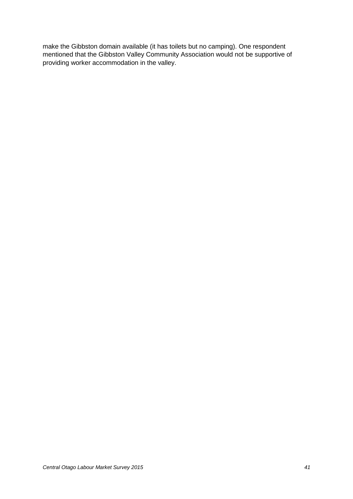make the Gibbston domain available (it has toilets but no camping). One respondent mentioned that the Gibbston Valley Community Association would not be supportive of providing worker accommodation in the valley.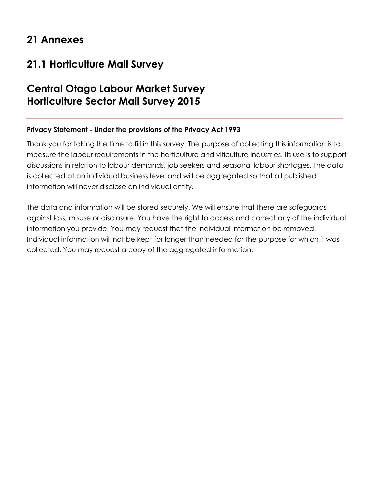# **21 Annexes**

# **21.1 Horticulture Mail Survey**

# **Central Otago Labour Market Survey Horticulture Sector Mail Survey 2015**

#### **Privacy Statement - Under the provisions of the Privacy Act 1993**

Thank you for taking the time to fill in this survey. The purpose of collecting this information is to measure the labour requirements in the horticulture and viticulture industries. Its use is to support discussions in relation to labour demands, job seekers and seasonal labour shortages. The data is collected at an individual business level and will be aggregated so that all published information will never disclose an individual entity.

The data and information will be stored securely. We will ensure that there are safeguards against loss, misuse or disclosure. You have the right to access and correct any of the individual information you provide. You may request that the individual information be removed. Individual information will not be kept for longer than needed for the purpose for which it was collected. You may request a copy of the aggregated information.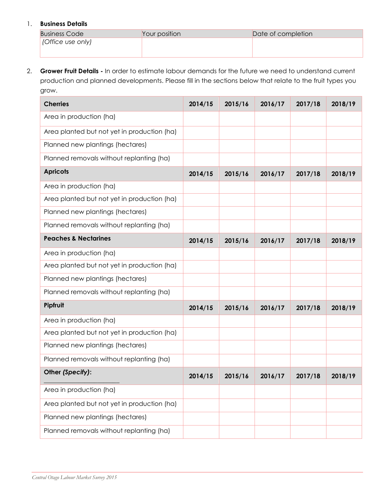#### 1. **Business Details**

| <b>Business Code</b> | Your position | Date of completion |
|----------------------|---------------|--------------------|
| (Office use only)    |               |                    |
|                      |               |                    |

2. **Grower Fruit Details -** In order to estimate labour demands for the future we need to understand current production and planned developments. Please fill in the sections below that relate to the fruit types you grow.

| <b>Cherries</b>                             | 2014/15 | 2015/16 | 2016/17 | 2017/18 | 2018/19 |
|---------------------------------------------|---------|---------|---------|---------|---------|
| Area in production (ha)                     |         |         |         |         |         |
| Area planted but not yet in production (ha) |         |         |         |         |         |
| Planned new plantings (hectares)            |         |         |         |         |         |
| Planned removals without replanting (ha)    |         |         |         |         |         |
| <b>Apricots</b>                             | 2014/15 | 2015/16 | 2016/17 | 2017/18 | 2018/19 |
| Area in production (ha)                     |         |         |         |         |         |
| Area planted but not yet in production (ha) |         |         |         |         |         |
| Planned new plantings (hectares)            |         |         |         |         |         |
| Planned removals without replanting (ha)    |         |         |         |         |         |
| <b>Peaches &amp; Nectarines</b>             | 2014/15 | 2015/16 | 2016/17 | 2017/18 | 2018/19 |
| Area in production (ha)                     |         |         |         |         |         |
| Area planted but not yet in production (ha) |         |         |         |         |         |
| Planned new plantings (hectares)            |         |         |         |         |         |
| Planned removals without replanting (ha)    |         |         |         |         |         |
| Pipfruit                                    | 2014/15 | 2015/16 | 2016/17 | 2017/18 | 2018/19 |
| Area in production (ha)                     |         |         |         |         |         |
| Area planted but not yet in production (ha) |         |         |         |         |         |
| Planned new plantings (hectares)            |         |         |         |         |         |
| Planned removals without replanting (ha)    |         |         |         |         |         |
| Other (Specify):                            | 2014/15 | 2015/16 | 2016/17 | 2017/18 | 2018/19 |
| Area in production (ha)                     |         |         |         |         |         |
| Area planted but not yet in production (ha) |         |         |         |         |         |
| Planned new plantings (hectares)            |         |         |         |         |         |
| Planned removals without replanting (ha)    |         |         |         |         |         |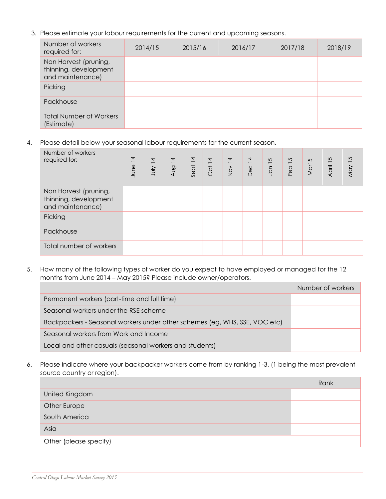3. Please estimate your labour requirements for the current and upcoming seasons.

| Number of workers<br>required for:                                 | 2014/15 | 2015/16 | 2016/17 | 2017/18 | 2018/19 |
|--------------------------------------------------------------------|---------|---------|---------|---------|---------|
| Non Harvest (pruning,<br>thinning, development<br>and maintenance) |         |         |         |         |         |
| Picking                                                            |         |         |         |         |         |
| Packhouse                                                          |         |         |         |         |         |
| <b>Total Number of Workers</b><br>(Estimate)                       |         |         |         |         |         |

4. Please detail below your seasonal labour requirements for the current season.

| Number of workers<br>required for:                                 | $\overline{4}$<br>June | $\overline{4}$<br>$\frac{1}{2}$ | $\overline{4}$<br>puy | $\overline{4}$<br>Sept | 4<br>$-$<br>Oct | Nov 14 | $\overline{4}$<br>Dec | $\sqrt{2}$<br>Jan | Feb 15 | Mar15 | 5<br>April | May 15 |
|--------------------------------------------------------------------|------------------------|---------------------------------|-----------------------|------------------------|-----------------|--------|-----------------------|-------------------|--------|-------|------------|--------|
| Non Harvest (pruning,<br>thinning, development<br>and maintenance) |                        |                                 |                       |                        |                 |        |                       |                   |        |       |            |        |
| Picking                                                            |                        |                                 |                       |                        |                 |        |                       |                   |        |       |            |        |
| Packhouse                                                          |                        |                                 |                       |                        |                 |        |                       |                   |        |       |            |        |
| Total number of workers                                            |                        |                                 |                       |                        |                 |        |                       |                   |        |       |            |        |

5. How many of the following types of worker do you expect to have employed or managed for the 12 months from June 2014 – May 2015? Please include owner/operators.

|                                                                            | Number of workers |
|----------------------------------------------------------------------------|-------------------|
| Permanent workers (part-time and full time)                                |                   |
| Seasonal workers under the RSE scheme                                      |                   |
| Backpackers - Seasonal workers under other schemes (eg, WHS, SSE, VOC etc) |                   |
| Seasonal workers from Work and Income                                      |                   |
| Local and other casuals (seasonal workers and students)                    |                   |

6. Please indicate where your backpacker workers come from by ranking 1-3. (1 being the most prevalent source country or region).

|                        | Rank |
|------------------------|------|
| United Kingdom         |      |
| Other Europe           |      |
| South America          |      |
| Asia                   |      |
| Other (please specify) |      |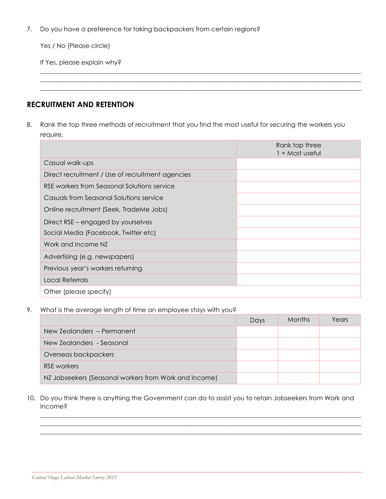7. Do you have a preference for taking backpackers from certain regions?

Yes / No (Please circle)

If Yes, please explain why?

#### **RECRUITMENT AND RETENTION**

8. Rank the top three methods of recruitment that you find the most useful for securing the workers you require.

**\_\_\_\_\_\_\_\_\_\_\_\_\_\_\_\_\_\_\_\_\_\_\_\_\_\_\_\_\_\_\_\_\_\_\_\_\_\_\_\_\_\_\_\_\_\_\_\_\_\_\_\_\_\_\_\_\_\_\_\_\_\_\_\_\_\_\_\_\_\_\_\_\_\_\_\_\_\_\_\_\_\_\_\_\_\_\_\_\_\_\_\_\_\_\_\_\_\_\_\_\_\_ \_\_\_\_\_\_\_\_\_\_\_\_\_\_\_\_\_\_\_\_\_\_\_\_\_\_\_\_\_\_\_\_\_\_\_\_\_\_\_\_\_\_\_\_\_\_\_\_\_\_\_\_\_\_\_\_\_\_\_\_\_\_\_\_\_\_\_\_\_\_\_\_\_\_\_\_\_\_\_\_\_\_\_\_\_\_\_\_\_\_\_\_\_\_\_\_\_\_\_\_\_\_ \_\_\_\_\_\_\_\_\_\_\_\_\_\_\_\_\_\_\_\_\_\_\_\_\_\_\_\_\_\_\_\_\_\_\_\_\_\_\_\_\_\_\_\_\_\_\_\_\_\_\_\_\_\_\_\_\_\_\_\_\_\_\_\_\_\_\_\_\_\_\_\_\_\_\_\_\_\_\_\_\_\_\_\_\_\_\_\_\_\_\_\_\_\_\_\_\_\_\_\_\_\_**

|                                                  | Rank top three<br>$l = Most useful$ |
|--------------------------------------------------|-------------------------------------|
| Casual walk-ups                                  |                                     |
| Direct recruitment / Use of recruitment agencies |                                     |
| RSE workers from Seasonal Solutions service      |                                     |
| Casuals from Seasonal Solutions service          |                                     |
| Online recruitment (Seek, TradeMe Jobs)          |                                     |
| Direct RSE – engaged by yourselves               |                                     |
| Social Media (Facebook, Twitter etc)             |                                     |
| Work and Income NZ                               |                                     |
| Advertising (e.g. newspapers)                    |                                     |
| Previous year's workers returning                |                                     |
| <b>Local Referrals</b>                           |                                     |
| Other (please specify)                           |                                     |

9. What is the average length of time an employee stays with you?

|                                                       | Days | <b>Months</b> | Years |
|-------------------------------------------------------|------|---------------|-------|
| New Zealanders - Permanent                            |      |               |       |
| New Zealanders - Seasonal                             |      |               |       |
| Overseas backpackers                                  |      |               |       |
| <b>RSE</b> workers                                    |      |               |       |
| NZ Jobseekers (Seasonal workers from Work and Income) |      |               |       |

10. Do you think there is anything the Government can do to assist you to retain Jobseekers from Work and Income?

**\_\_\_\_\_\_\_\_\_\_\_\_\_\_\_\_\_\_\_\_\_\_\_\_\_\_\_\_\_\_\_\_\_\_\_\_\_\_\_\_\_\_\_\_\_\_\_\_\_\_\_\_\_\_\_\_\_\_\_\_\_\_\_\_\_\_\_\_\_\_\_\_\_\_\_\_\_\_\_\_\_\_\_\_\_\_\_\_\_\_\_\_\_\_\_\_\_\_\_\_\_\_ \_\_\_\_\_\_\_\_\_\_\_\_\_\_\_\_\_\_\_\_\_\_\_\_\_\_\_\_\_\_\_\_\_\_\_\_\_\_\_\_\_\_\_\_\_\_\_\_\_\_\_\_\_\_\_\_\_\_\_\_\_\_\_\_\_\_\_\_\_\_\_\_\_\_\_\_\_\_\_\_\_\_\_\_\_\_\_\_\_\_\_\_\_\_\_\_\_\_\_\_\_\_ \_\_\_\_\_\_\_\_\_\_\_\_\_\_\_\_\_\_\_\_\_\_\_\_\_\_\_\_\_\_\_\_\_\_\_\_\_\_\_\_\_\_\_\_\_\_\_\_\_\_\_\_\_\_\_\_\_\_\_\_\_\_\_\_\_\_\_\_\_\_\_\_\_\_\_\_\_\_\_\_\_\_\_\_\_\_\_\_\_\_\_\_\_\_\_\_\_\_\_\_\_\_**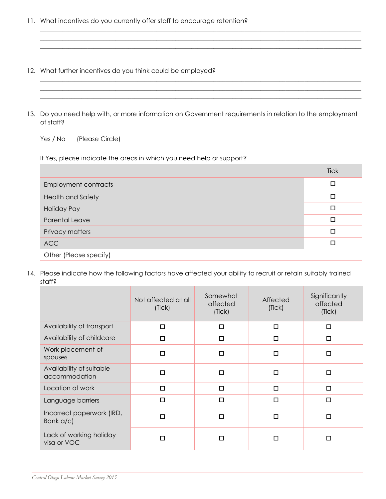- 11. What incentives do you currently offer staff to encourage retention?
- 12. What further incentives do you think could be employed?
- 13. Do you need help with, or more information on Government requirements in relation to the employment of staff?

**\_\_\_\_\_\_\_\_\_\_\_\_\_\_\_\_\_\_\_\_\_\_\_\_\_\_\_\_\_\_\_\_\_\_\_\_\_\_\_\_\_\_\_\_\_\_\_\_\_\_\_\_\_\_\_\_\_\_\_\_\_\_\_\_\_\_\_\_\_\_\_\_\_\_\_\_\_\_\_\_\_\_\_\_\_\_\_\_\_\_\_\_\_\_\_\_\_\_\_\_\_\_ \_\_\_\_\_\_\_\_\_\_\_\_\_\_\_\_\_\_\_\_\_\_\_\_\_\_\_\_\_\_\_\_\_\_\_\_\_\_\_\_\_\_\_\_\_\_\_\_\_\_\_\_\_\_\_\_\_\_\_\_\_\_\_\_\_\_\_\_\_\_\_\_\_\_\_\_\_\_\_\_\_\_\_\_\_\_\_\_\_\_\_\_\_\_\_\_\_\_\_\_\_\_ \_\_\_\_\_\_\_\_\_\_\_\_\_\_\_\_\_\_\_\_\_\_\_\_\_\_\_\_\_\_\_\_\_\_\_\_\_\_\_\_\_\_\_\_\_\_\_\_\_\_\_\_\_\_\_\_\_\_\_\_\_\_\_\_\_\_\_\_\_\_\_\_\_\_\_\_\_\_\_\_\_\_\_\_\_\_\_\_\_\_\_\_\_\_\_\_\_\_\_\_\_\_**

**\_\_\_\_\_\_\_\_\_\_\_\_\_\_\_\_\_\_\_\_\_\_\_\_\_\_\_\_\_\_\_\_\_\_\_\_\_\_\_\_\_\_\_\_\_\_\_\_\_\_\_\_\_\_\_\_\_\_\_\_\_\_\_\_\_\_\_\_\_\_\_\_\_\_\_\_\_\_\_\_\_\_\_\_\_\_\_\_\_\_\_\_\_\_\_\_\_\_\_\_\_\_ \_\_\_\_\_\_\_\_\_\_\_\_\_\_\_\_\_\_\_\_\_\_\_\_\_\_\_\_\_\_\_\_\_\_\_\_\_\_\_\_\_\_\_\_\_\_\_\_\_\_\_\_\_\_\_\_\_\_\_\_\_\_\_\_\_\_\_\_\_\_\_\_\_\_\_\_\_\_\_\_\_\_\_\_\_\_\_\_\_\_\_\_\_\_\_\_\_\_\_\_\_\_**

Yes / No (Please Circle)

If Yes, please indicate the areas in which you need help or support?

|                             | <b>Tick</b> |
|-----------------------------|-------------|
| <b>Employment contracts</b> | П           |
| <b>Health and Safety</b>    |             |
| <b>Holiday Pay</b>          | П           |
| Parental Leave              |             |
| Privacy matters             | П           |
| <b>ACC</b>                  |             |
| Other (Please specify)      |             |

14. Please indicate how the following factors have affected your ability to recruit or retain suitably trained staff?

|                                           | Not affected at all<br>(Tick) | Somewhat<br>affected<br>(Tick) | Affected<br>(Tick) | Significantly<br>affected<br>(Tick) |
|-------------------------------------------|-------------------------------|--------------------------------|--------------------|-------------------------------------|
| Availability of transport                 | □                             | □                              | □                  | □                                   |
| Availability of childcare                 | □                             | □                              | □                  | □                                   |
| Work placement of<br>spouses              | П                             | □                              | □                  | П                                   |
| Availability of suitable<br>accommodation | П                             | □                              | $\Box$             | п                                   |
| Location of work                          | □                             | □                              | □                  | □                                   |
| Language barriers                         | □                             | $\Box$                         | $\Box$             | П                                   |
| Incorrect paperwork (IRD,<br>Bank a/c)    | $\Box$                        | п                              | □                  | П                                   |
| Lack of working holiday<br>visa or VOC    | □                             | □                              | □                  | П                                   |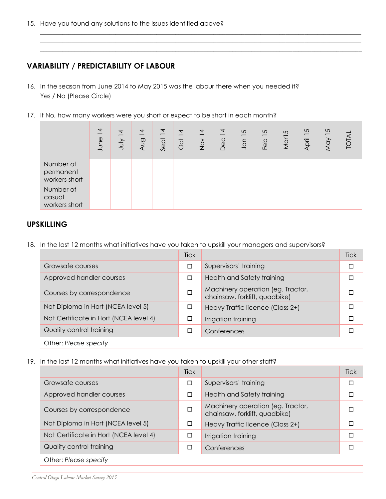15. Have you found any solutions to the issues identified above?

#### **VARIABILITY / PREDICTABILITY OF LABOUR**

- 16. In the season from June 2014 to May 2015 was the labour there when you needed it? Yes / No (Please Circle)
- 17. If No, how many workers were you short or expect to be short in each month?

|                                         | $\overline{4}$<br>$\overline{\phantom{m}}$<br>June | $\overline{4}$<br>YIN | $\overline{4}$<br><b>Aug</b> | $\overline{4}$<br>Sept | $\overline{4}$<br>$\overline{C}$ | $\overline{4}$<br>$\frac{5}{2}$ | $\overline{4}$<br>Dec | $\sqrt{2}$<br>$\overline{\phantom{0}}$<br>Jan | 5<br>Feb | 5<br>Mar <sub>1</sub> | 5<br>$\overline{\phantom{0}}$<br>April | 5<br>Nay | TOTA |
|-----------------------------------------|----------------------------------------------------|-----------------------|------------------------------|------------------------|----------------------------------|---------------------------------|-----------------------|-----------------------------------------------|----------|-----------------------|----------------------------------------|----------|------|
| Number of<br>permanent<br>workers short |                                                    |                       |                              |                        |                                  |                                 |                       |                                               |          |                       |                                        |          |      |
| Number of<br>casual<br>workers short    |                                                    |                       |                              |                        |                                  |                                 |                       |                                               |          |                       |                                        |          |      |

**\_\_\_\_\_\_\_\_\_\_\_\_\_\_\_\_\_\_\_\_\_\_\_\_\_\_\_\_\_\_\_\_\_\_\_\_\_\_\_\_\_\_\_\_\_\_\_\_\_\_\_\_\_\_\_\_\_\_\_\_\_\_\_\_\_\_\_\_\_\_\_\_\_\_\_\_\_\_\_\_\_\_\_\_\_\_\_\_\_\_\_\_\_\_\_\_\_\_\_\_\_\_ \_\_\_\_\_\_\_\_\_\_\_\_\_\_\_\_\_\_\_\_\_\_\_\_\_\_\_\_\_\_\_\_\_\_\_\_\_\_\_\_\_\_\_\_\_\_\_\_\_\_\_\_\_\_\_\_\_\_\_\_\_\_\_\_\_\_\_\_\_\_\_\_\_\_\_\_\_\_\_\_\_\_\_\_\_\_\_\_\_\_\_\_\_\_\_\_\_\_\_\_\_\_ \_\_\_\_\_\_\_\_\_\_\_\_\_\_\_\_\_\_\_\_\_\_\_\_\_\_\_\_\_\_\_\_\_\_\_\_\_\_\_\_\_\_\_\_\_\_\_\_\_\_\_\_\_\_\_\_\_\_\_\_\_\_\_\_\_\_\_\_\_\_\_\_\_\_\_\_\_\_\_\_\_\_\_\_\_\_\_\_\_\_\_\_\_\_\_\_\_\_\_\_\_\_**

#### **UPSKILLING**

18. In the last 12 months what initiatives have you taken to upskill your managers and supervisors?

|                                        | <b>Tick</b> |                                                                    | <b>Tick</b> |
|----------------------------------------|-------------|--------------------------------------------------------------------|-------------|
| Growsafe courses                       | □           | Supervisors' training                                              | □           |
| Approved handler courses               | □           | Health and Safety training                                         | П           |
| Courses by correspondence              | □           | Machinery operation (eg. Tractor,<br>chainsaw, forklift, quadbike) |             |
| Nat Diploma in Hort (NCEA level 5)     | $\Box$      | Heavy Traffic licence (Class 2+)                                   |             |
| Nat Certificate in Hort (NCEA level 4) | □           | Irrigation training                                                | п           |
| Quality control training               | $\Box$      | Conferences                                                        |             |
| Other: Please specify                  |             |                                                                    |             |

19. In the last 12 months what initiatives have you taken to upskill your other staff?

|                                        | <b>Tick</b> |                                                                    | <b>Tick</b> |
|----------------------------------------|-------------|--------------------------------------------------------------------|-------------|
| Growsafe courses                       | $\Box$      | Supervisors' training                                              |             |
| Approved handler courses               | □           | Health and Safety training                                         |             |
| Courses by correspondence              | $\Box$      | Machinery operation (eg. Tractor,<br>chainsaw, forklift, quadbike) |             |
| Nat Diploma in Hort (NCEA level 5)     | $\Box$      | Heavy Traffic licence (Class 2+)                                   |             |
| Nat Certificate in Hort (NCEA level 4) | ⊏           | Irrigation training                                                |             |
| Quality control training               | □           | Conferences                                                        |             |
| Other: Please specify                  |             |                                                                    |             |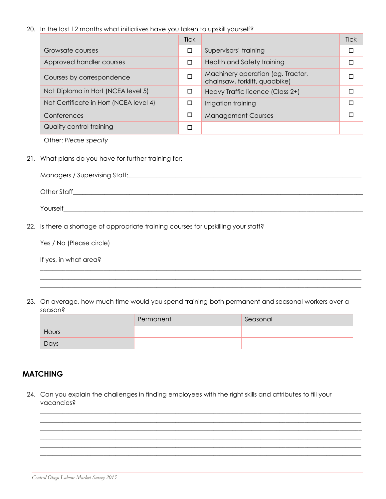20. In the last 12 months what initiatives have you taken to upskill yourself?

|                                        | <b>Tick</b> |                                                                    | <b>Tick</b> |
|----------------------------------------|-------------|--------------------------------------------------------------------|-------------|
| Growsafe courses                       | □           | Supervisors' training                                              | $\Box$      |
| Approved handler courses               | $\Box$      | Health and Safety training                                         | □           |
| Courses by correspondence              | □           | Machinery operation (eg. Tractor,<br>chainsaw, forklift, quadbike) |             |
| Nat Diploma in Hort (NCEA level 5)     | □           | Heavy Traffic licence (Class 2+)                                   | П           |
| Nat Certificate in Hort (NCEA level 4) | □           | Irrigation training                                                | П           |
| Conferences                            | □           | <b>Management Courses</b>                                          | П           |
| Quality control training               | □           |                                                                    |             |
| Other: Please specify                  |             |                                                                    |             |

21. What plans do you have for further training for:

| Managers / Supervising Staff: |  |
|-------------------------------|--|
| Other Staff                   |  |

Yourself

22. Is there a shortage of appropriate training courses for upskilling your staff?

| Yes / No (Please circle) |  |  |
|--------------------------|--|--|
|--------------------------|--|--|

|  |  |  | If yes, in what area? |
|--|--|--|-----------------------|
|--|--|--|-----------------------|

23. On average, how much time would you spend training both permanent and seasonal workers over a season?

|       | Permanent | Seasonal |
|-------|-----------|----------|
| Hours |           |          |
| Days  |           |          |

\_\_\_\_\_\_\_\_\_\_\_\_\_\_\_\_\_\_\_\_\_\_\_\_\_\_\_\_\_\_\_\_\_\_\_\_\_\_\_\_\_\_\_\_\_\_\_\_\_\_\_\_\_\_\_\_\_\_\_\_\_\_\_\_\_\_\_\_\_\_\_\_\_\_\_\_\_\_\_\_\_\_\_\_\_\_\_\_\_\_\_\_\_\_\_\_\_\_\_\_\_\_ \_\_\_\_\_\_\_\_\_\_\_\_\_\_\_\_\_\_\_\_\_\_\_\_\_\_\_\_\_\_\_\_\_\_\_\_\_\_\_\_\_\_\_\_\_\_\_\_\_\_\_\_\_\_\_\_\_\_\_\_\_\_\_\_\_\_\_\_\_\_\_\_\_\_\_\_\_\_\_\_\_\_\_\_\_\_\_\_\_\_\_\_\_\_\_\_\_\_\_\_\_\_ \_\_\_\_\_\_\_\_\_\_\_\_\_\_\_\_\_\_\_\_\_\_\_\_\_\_\_\_\_\_\_\_\_\_\_\_\_\_\_\_\_\_\_\_\_\_\_\_\_\_\_\_\_\_\_\_\_\_\_\_\_\_\_\_\_\_\_\_\_\_\_\_\_\_\_\_\_\_\_\_\_\_\_\_\_\_\_\_\_\_\_\_\_\_\_\_\_\_\_\_\_\_ \_\_\_\_\_\_\_\_\_\_\_\_\_\_\_\_\_\_\_\_\_\_\_\_\_\_\_\_\_\_\_\_\_\_\_\_\_\_\_\_\_\_\_\_\_\_\_\_\_\_\_\_\_\_\_\_\_\_\_\_\_\_\_\_\_\_\_\_\_\_\_\_\_\_\_\_\_\_\_\_\_\_\_\_\_\_\_\_\_\_\_\_\_\_\_\_\_\_\_\_\_\_ \_\_\_\_\_\_\_\_\_\_\_\_\_\_\_\_\_\_\_\_\_\_\_\_\_\_\_\_\_\_\_\_\_\_\_\_\_\_\_\_\_\_\_\_\_\_\_\_\_\_\_\_\_\_\_\_\_\_\_\_\_\_\_\_\_\_\_\_\_\_\_\_\_\_\_\_\_\_\_\_\_\_\_\_\_\_\_\_\_\_\_\_\_\_\_\_\_\_\_\_\_\_ \_\_\_\_\_\_\_\_\_\_\_\_\_\_\_\_\_\_\_\_\_\_\_\_\_\_\_\_\_\_\_\_\_\_\_\_\_\_\_\_\_\_\_\_\_\_\_\_\_\_\_\_\_\_\_\_\_\_\_\_\_\_\_\_\_\_\_\_\_\_\_\_\_\_\_\_\_\_\_\_\_\_\_\_\_\_\_\_\_\_\_\_\_\_\_\_\_\_\_\_\_\_

\_*\_\_\_\_\_\_\_\_\_\_\_\_\_\_\_\_\_\_\_\_\_\_\_\_\_\_\_\_\_\_\_\_\_\_\_\_\_\_\_\_\_\_\_\_\_\_\_\_\_\_\_\_\_\_\_\_\_\_\_\_\_\_\_\_\_\_\_\_\_\_\_\_\_\_\_\_\_\_\_\_\_\_\_\_\_\_\_\_\_\_\_\_\_\_\_\_\_\_\_\_\_ \_\_\_\_\_\_\_\_\_\_\_\_\_\_\_\_\_\_\_\_\_\_\_\_\_\_\_\_\_\_\_\_\_\_\_\_\_\_\_\_\_\_\_\_\_\_\_\_\_\_\_\_\_\_\_\_\_\_\_\_\_\_\_\_\_\_\_\_\_\_\_\_\_\_\_\_\_\_\_\_\_\_\_\_\_\_\_\_\_\_\_\_\_\_\_\_\_\_\_\_\_\_ \_\_\_\_\_\_\_\_\_\_\_\_\_\_\_\_\_\_\_\_\_\_\_\_\_\_\_\_\_\_\_\_\_\_\_\_\_\_\_\_\_\_\_\_\_\_\_\_\_\_\_\_\_\_\_\_\_\_\_\_\_\_\_\_\_\_\_\_\_\_\_\_\_\_\_\_\_\_\_\_\_\_\_\_\_\_\_\_\_\_\_\_\_\_\_\_\_\_\_\_\_\_*

#### **MATCHING**

24. Can you explain the challenges in finding employees with the right skills and attributes to fill your vacancies?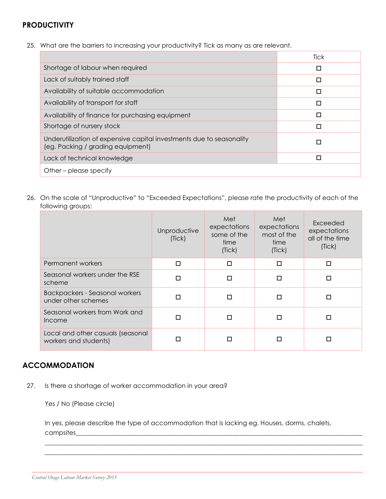#### **PRODUCTIVITY**

25. What are the barriers to increasing your productivity? Tick as many as are relevant.

|                                                                                                           | Tick |
|-----------------------------------------------------------------------------------------------------------|------|
| Shortage of labour when required                                                                          | п    |
| Lack of suitably trained staff                                                                            | п    |
| Availability of suitable accommodation                                                                    | п    |
| Availability of transport for staff                                                                       | П    |
| Availability of finance for purchasing equipment                                                          | п    |
| Shortage of nursery stock                                                                                 | П    |
| Underutilization of expensive capital investments due to seasonality<br>(eg. Packing / grading equipment) | п    |
| Lack of technical knowledge                                                                               | п    |
| Other – please specify                                                                                    |      |

26. On the scale of "Unproductive" to "Exceeded Expectations", please rate the productivity of each of the following groups:

|                                                              | Unproductive<br>(Tick) | Met<br>expectations<br>some of the<br>time<br>(Tick) | Met<br>expectations<br>most of the<br>time<br>(Tick) | Exceeded<br>expectations<br>all of the time<br>(Tick) |
|--------------------------------------------------------------|------------------------|------------------------------------------------------|------------------------------------------------------|-------------------------------------------------------|
| Permanent workers                                            | □                      | □                                                    | □                                                    | $\Box$                                                |
| Seasonal workers under the RSE<br>scheme                     | $\Box$                 | □                                                    | □                                                    | $\Box$                                                |
| <b>Backpackers - Seasonal workers</b><br>under other schemes | п                      | $\Box$                                               | п                                                    | п                                                     |
| Seasonal workers from Work and<br>Income                     | □                      | □                                                    | п                                                    | п                                                     |
| Local and other casuals (seasonal<br>workers and students)   |                        |                                                      | П                                                    |                                                       |

#### **ACCOMMODATION**

27. Is there a shortage of worker accommodation in your area?

Yes / No (Please circle)

In yes, please describe the type of accommodation that is lacking eg. Houses, dorms, chalets, campsites\_

 $\_$  , and the set of the set of the set of the set of the set of the set of the set of the set of the set of the set of the set of the set of the set of the set of the set of the set of the set of the set of the set of th  $\_$  , and the set of the set of the set of the set of the set of the set of the set of the set of the set of the set of the set of the set of the set of the set of the set of the set of the set of the set of the set of th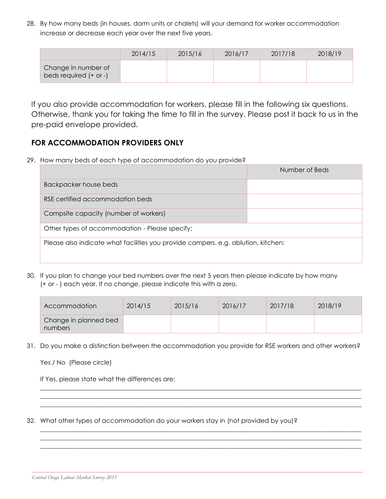28. By how many beds (in houses, dorm units or chalets) will your demand for worker accommodation increase or decrease each year over the next five years.

|                                               | 2014/15 | 2015/16 | 2016/17 | 2017/18 | 2018/19 |
|-----------------------------------------------|---------|---------|---------|---------|---------|
| Change in number of<br>beds required (+ or -) |         |         |         |         |         |

If you also provide accommodation for workers, please fill in the following six questions. Otherwise, thank you for taking the time to fill in the survey. Please post it back to us in the pre-paid envelope provided.

#### **FOR ACCOMMODATION PROVIDERS ONLY**

29. How many beds of each type of accommodation do you provide?

|                                                                                   | Number of Beds |
|-----------------------------------------------------------------------------------|----------------|
| Backpacker house beds                                                             |                |
| RSE certified accommodation beds                                                  |                |
| Campsite capacity (number of workers)                                             |                |
| Other types of accommodation - Please specify:                                    |                |
| Please also indicate what facilities you provide campers. e.g. ablution, kitchen: |                |

30. If you plan to change your bed numbers over the next 5 years then please indicate by how many (+ or - ) each year. If no change, please indicate this with a zero.

| Accommodation                    | 2014/15 | 2015/16 | 2016/17 | 2017/18 | 2018/19 |
|----------------------------------|---------|---------|---------|---------|---------|
| Change in planned bed<br>numbers |         |         |         |         |         |

\_\_\_\_\_\_\_\_\_\_\_\_\_\_\_\_\_\_\_\_\_\_\_\_\_\_\_\_\_\_\_\_\_\_\_\_\_\_\_\_\_\_\_\_\_\_\_\_\_\_\_\_\_\_\_\_\_\_\_\_\_\_\_\_\_\_\_\_\_\_\_\_\_\_\_\_\_\_\_\_\_\_\_\_\_\_\_\_\_\_\_\_\_\_\_\_\_\_\_\_\_\_ \_\_\_\_\_\_\_\_\_\_\_\_\_\_\_\_\_\_\_\_\_\_\_\_\_\_\_\_\_\_\_\_\_\_\_\_\_\_\_\_\_\_\_\_\_\_\_\_\_\_\_\_\_\_\_\_\_\_\_\_\_\_\_\_\_\_\_\_\_\_\_\_\_\_\_\_\_\_\_\_\_\_\_\_\_\_\_\_\_\_\_\_\_\_\_\_\_\_\_\_\_\_  $\_$  ,  $\_$  ,  $\_$  ,  $\_$  ,  $\_$  ,  $\_$  ,  $\_$  ,  $\_$  ,  $\_$  ,  $\_$  ,  $\_$  ,  $\_$  ,  $\_$  ,  $\_$  ,  $\_$  ,  $\_$  ,  $\_$  ,  $\_$  ,  $\_$  ,  $\_$  ,  $\_$  ,  $\_$  ,  $\_$  ,  $\_$  ,  $\_$  ,  $\_$  ,  $\_$  ,  $\_$  ,  $\_$  ,  $\_$  ,  $\_$  ,  $\_$  ,  $\_$  ,  $\_$  ,  $\_$  ,  $\_$  ,  $\_$  ,

\_\_\_\_\_\_\_\_\_\_\_\_\_\_\_\_\_\_\_\_\_\_\_\_\_\_\_\_\_\_\_\_\_\_\_\_\_\_\_\_\_\_\_\_\_\_\_\_\_\_\_\_\_\_\_\_\_\_\_\_\_\_\_\_\_\_\_\_\_\_\_\_\_\_\_\_\_\_\_\_\_\_\_\_\_\_\_\_\_\_\_\_\_\_\_\_\_\_\_\_\_\_ \_\_\_\_\_\_\_\_\_\_\_\_\_\_\_\_\_\_\_\_\_\_\_\_\_\_\_\_\_\_\_\_\_\_\_\_\_\_\_\_\_\_\_\_\_\_\_\_\_\_\_\_\_\_\_\_\_\_\_\_\_\_\_\_\_\_\_\_\_\_\_\_\_\_\_\_\_\_\_\_\_\_\_\_\_\_\_\_\_\_\_\_\_\_\_\_\_\_\_\_\_\_  $\_$  ,  $\_$  ,  $\_$  ,  $\_$  ,  $\_$  ,  $\_$  ,  $\_$  ,  $\_$  ,  $\_$  ,  $\_$  ,  $\_$  ,  $\_$  ,  $\_$  ,  $\_$  ,  $\_$  ,  $\_$  ,  $\_$  ,  $\_$  ,  $\_$  ,  $\_$  ,  $\_$  ,  $\_$  ,  $\_$  ,  $\_$  ,  $\_$  ,  $\_$  ,  $\_$  ,  $\_$  ,  $\_$  ,  $\_$  ,  $\_$  ,  $\_$  ,  $\_$  ,  $\_$  ,  $\_$  ,  $\_$  ,  $\_$  ,

31. Do you make a distinction between the accommodation you provide for RSE workers and other workers?

Yes / No (Please circle)

If Yes, please state what the differences are:

32. What other types of accommodation do your workers stay in (not provided by you)?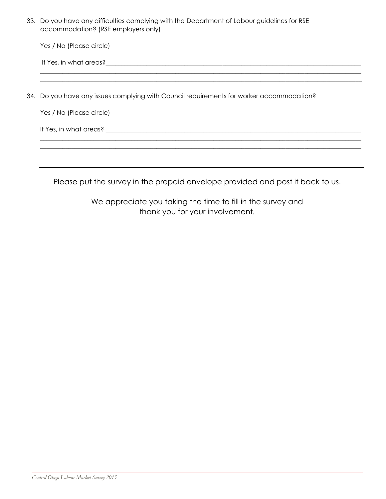| 33. Do you have any difficulties complying with the Department of Labour guidelines for RSE |
|---------------------------------------------------------------------------------------------|
| accommodation? (RSE employers only)                                                         |

| Yes / No (Please circle)                                                                                                                                                                                                      |
|-------------------------------------------------------------------------------------------------------------------------------------------------------------------------------------------------------------------------------|
| If Yes, in what areas? The state of the state of the state of the state of the state of the state of the state of the state of the state of the state of the state of the state of the state of the state of the state of the |
|                                                                                                                                                                                                                               |
| 34. Do you have any issues complying with Council requirements for worker accommodation?                                                                                                                                      |
| Yes / No (Please circle)                                                                                                                                                                                                      |
| If Yes, in what areas?                                                                                                                                                                                                        |

Please put the survey in the prepaid envelope provided and post it back to us.

\_\_\_\_\_\_\_\_\_\_\_\_\_\_\_\_\_\_\_\_\_\_\_\_\_\_\_\_\_\_\_\_\_\_\_\_\_\_\_\_\_\_\_\_\_\_\_\_\_\_\_\_\_\_\_\_\_\_\_\_\_\_\_\_\_\_\_\_\_\_\_\_\_\_\_\_\_\_\_\_\_\_\_\_\_\_\_\_\_\_\_\_\_\_\_\_\_\_\_\_\_\_

We appreciate you taking the time to fill in the survey and thank you for your involvement.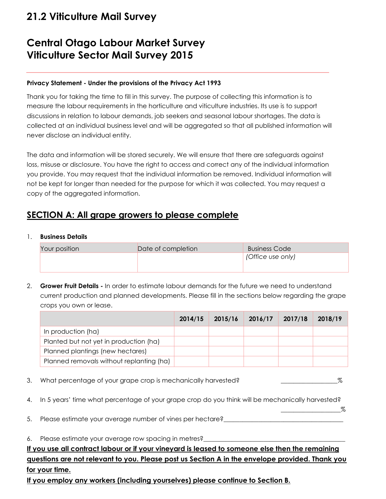# **21.2 Viticulture Mail Survey**

# **Central Otago Labour Market Survey Viticulture Sector Mail Survey 2015**

#### **Privacy Statement - Under the provisions of the Privacy Act 1993**

Thank you for taking the time to fill in this survey. The purpose of collecting this information is to measure the labour requirements in the horticulture and viticulture industries. Its use is to support discussions in relation to labour demands, job seekers and seasonal labour shortages. The data is collected at an individual business level and will be aggregated so that all published information will never disclose an individual entity.

The data and information will be stored securely. We will ensure that there are safeguards against loss, misuse or disclosure. You have the right to access and correct any of the individual information you provide. You may request that the individual information be removed. Individual information will not be kept for longer than needed for the purpose for which it was collected. You may request a copy of the aggregated information.

## **SECTION A: All grape growers to please complete**

#### 1. **Business Details**

| Your position | Date of completion | Business Code     |
|---------------|--------------------|-------------------|
|               |                    | (Office use only) |
|               |                    |                   |

2. **Grower Fruit Details -** In order to estimate labour demands for the future we need to understand current production and planned developments. Please fill in the sections below regarding the grape crops you own or lease.

|                                          | 2014/15 | 2015/16 | 2016/17 | 2017/18 | 2018/19 |
|------------------------------------------|---------|---------|---------|---------|---------|
| In production (ha)                       |         |         |         |         |         |
| Planted but not yet in production (ha)   |         |         |         |         |         |
| Planned plantings (new hectares)         |         |         |         |         |         |
| Planned removals without replanting (ha) |         |         |         |         |         |

- 3. What percentage of your grape crop is mechanically harvested? \_\_\_\_\_\_\_\_\_\_\_\_\_\_\_\_\_\_%
- 4. In 5 years' time what percentage of your grape crop do you think will be mechanically harvested?

\_\_\_\_\_\_\_\_\_\_\_\_\_\_\_\_\_\_\_%

5. Please estimate your average number of vines per hectare?

6. Please estimate your average row spacing in metres?

**If you use all contract labour or if your vineyard is leased to someone else then the remaining questions are not relevant to you. Please post us Section A in the envelope provided. Thank you for your time.**

**If you employ any workers (including yourselves) please continue to Section B.**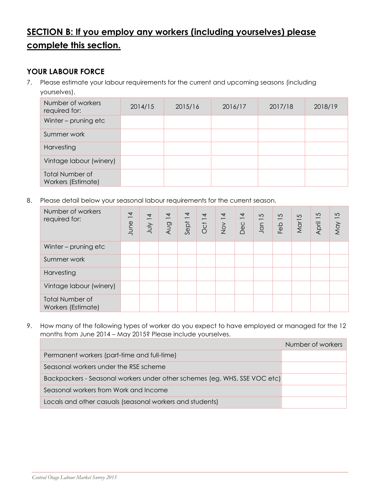# **SECTION B: If you employ any workers (including yourselves) please complete this section.**

#### **YOUR LABOUR FORCE**

7. Please estimate your labour requirements for the current and upcoming seasons (including yourselves).

| Number of workers<br>required for:           | 2014/15 | 2015/16 | 2016/17 | 2017/18 | 2018/19 |
|----------------------------------------------|---------|---------|---------|---------|---------|
| Winter - pruning etc                         |         |         |         |         |         |
| Summer work                                  |         |         |         |         |         |
| Harvesting                                   |         |         |         |         |         |
| Vintage labour (winery)                      |         |         |         |         |         |
| <b>Total Number of</b><br>Workers (Estimate) |         |         |         |         |         |

8. Please detail below your seasonal labour requirements for the current season.

| Number of workers<br>required for:           | $\overline{4}$<br>June | $\overline{4}$<br>YIDL | $\overline{4}$<br>$\overline{\phantom{0}}$<br>pny | 4<br>$-$<br>Sept | <b>Oct 14</b> | Nov 14 | 4<br>$\overline{\phantom{0}}$<br>Dec | 5<br>$\overline{\phantom{0}}$<br>Jan | 5<br>Feb | $\sqrt{2}$<br>Mar <sub>1</sub> | 5<br>April 1 | 5<br>May |
|----------------------------------------------|------------------------|------------------------|---------------------------------------------------|------------------|---------------|--------|--------------------------------------|--------------------------------------|----------|--------------------------------|--------------|----------|
| Winter - pruning etc                         |                        |                        |                                                   |                  |               |        |                                      |                                      |          |                                |              |          |
| Summer work                                  |                        |                        |                                                   |                  |               |        |                                      |                                      |          |                                |              |          |
| Harvesting                                   |                        |                        |                                                   |                  |               |        |                                      |                                      |          |                                |              |          |
| Vintage labour (winery)                      |                        |                        |                                                   |                  |               |        |                                      |                                      |          |                                |              |          |
| <b>Total Number of</b><br>Workers (Estimate) |                        |                        |                                                   |                  |               |        |                                      |                                      |          |                                |              |          |

9. How many of the following types of worker do you expect to have employed or managed for the 12 months from June 2014 – May 2015? Please include yourselves.

|                                                                           | Number of workers |
|---------------------------------------------------------------------------|-------------------|
| Permanent workers (part-time and full-time)                               |                   |
| Seasonal workers under the RSE scheme                                     |                   |
| Backpackers - Seasonal workers under other schemes (eg. WHS, SSE VOC etc) |                   |
| Seasonal workers from Work and Income                                     |                   |
| Locals and other casuals (seasonal workers and students)                  |                   |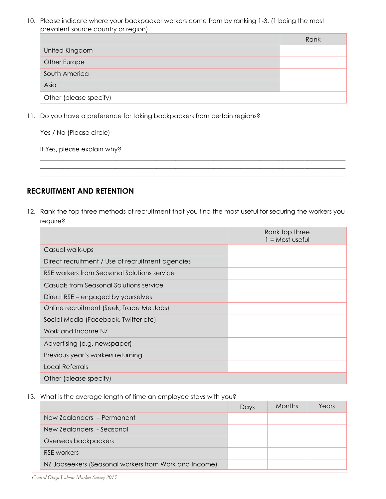10. Please indicate where your backpacker workers come from by ranking 1-3. (1 being the most prevalent source country or region).

|                        | Rank |
|------------------------|------|
| United Kingdom         |      |
| Other Europe           |      |
| South America          |      |
| Asia                   |      |
| Other (please specify) |      |

11. Do you have a preference for taking backpackers from certain regions?

Yes / No (Please circle)

If Yes, please explain why?

#### **RECRUITMENT AND RETENTION**

12. Rank the top three methods of recruitment that you find the most useful for securing the workers you require?

**\_\_\_\_\_\_\_\_\_\_\_\_\_\_\_\_\_\_\_\_\_\_\_\_\_\_\_\_\_\_\_\_\_\_\_\_\_\_\_\_\_\_\_\_\_\_\_\_\_\_\_\_\_\_\_\_\_\_\_\_\_\_\_\_\_\_\_\_\_\_\_\_\_\_\_\_\_\_\_\_\_\_\_\_\_\_\_\_\_\_\_\_\_\_\_\_\_ \_\_\_\_\_\_\_\_\_\_\_\_\_\_\_\_\_\_\_\_\_\_\_\_\_\_\_\_\_\_\_\_\_\_\_\_\_\_\_\_\_\_\_\_\_\_\_\_\_\_\_\_\_\_\_\_\_\_\_\_\_\_\_\_\_\_\_\_\_\_\_\_\_\_\_\_\_\_\_\_\_\_\_\_\_\_\_\_\_\_\_\_\_\_\_\_\_ \_\_\_\_\_\_\_\_\_\_\_\_\_\_\_\_\_\_\_\_\_\_\_\_\_\_\_\_\_\_\_\_\_\_\_\_\_\_\_\_\_\_\_\_\_\_\_\_\_\_\_\_\_\_\_\_\_\_\_\_\_\_\_\_\_\_\_\_\_\_\_\_\_\_\_\_\_\_\_\_\_\_\_\_\_\_\_\_\_\_\_\_\_\_\_\_\_**

|                                                  | Rank top three<br>$1 = Most useful$ |
|--------------------------------------------------|-------------------------------------|
| Casual walk-ups                                  |                                     |
| Direct recruitment / Use of recruitment agencies |                                     |
| RSE workers from Seasonal Solutions service      |                                     |
| Casuals from Seasonal Solutions service          |                                     |
| Direct RSE – engaged by yourselves               |                                     |
| Online recruitment (Seek, Trade Me Jobs)         |                                     |
| Social Media (Facebook, Twitter etc)             |                                     |
| Work and Income NZ                               |                                     |
| Advertising (e.g. newspaper)                     |                                     |
| Previous year's workers returning                |                                     |
| <b>Local Referrals</b>                           |                                     |
| Other (please specify)                           |                                     |

13. What is the average length of time an employee stays with you?

|                                                       | Days | <b>Months</b> | Years |
|-------------------------------------------------------|------|---------------|-------|
| New Zealanders - Permanent                            |      |               |       |
| New Zealanders - Seasonal                             |      |               |       |
| Overseas backpackers                                  |      |               |       |
| <b>RSE</b> workers                                    |      |               |       |
| NZ Jobseekers (Seasonal workers from Work and Income) |      |               |       |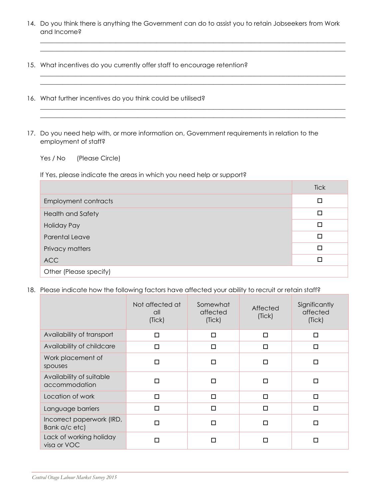14. Do you think there is anything the Government can do to assist you to retain Jobseekers from Work and Income?

\_\_\_\_\_\_\_\_\_\_\_\_\_\_\_\_\_\_\_\_\_\_\_\_\_\_\_\_\_\_\_\_\_\_\_\_\_\_\_\_\_\_\_\_\_\_\_\_\_\_\_\_\_\_\_\_\_\_\_\_\_\_\_\_\_\_\_\_\_\_\_\_\_\_\_\_\_\_\_\_\_\_\_\_\_\_\_\_\_\_\_\_\_\_\_\_\_ \_\_\_\_\_\_\_\_\_\_\_\_\_\_\_\_\_\_\_\_\_\_\_\_\_\_\_\_\_\_\_\_\_\_\_\_\_\_\_\_\_\_\_\_\_\_\_\_\_\_\_\_\_\_\_\_\_\_\_\_\_\_\_\_\_\_\_\_\_\_\_\_\_\_\_\_\_\_\_\_\_\_\_\_\_\_\_\_\_\_\_\_\_\_\_\_\_

\_\_\_\_\_\_\_\_\_\_\_\_\_\_\_\_\_\_\_\_\_\_\_\_\_\_\_\_\_\_\_\_\_\_\_\_\_\_\_\_\_\_\_\_\_\_\_\_\_\_\_\_\_\_\_\_\_\_\_\_\_\_\_\_\_\_\_\_\_\_\_\_\_\_\_\_\_\_\_\_\_\_\_\_\_\_\_\_\_\_\_\_\_\_\_\_\_ \_\_\_\_\_\_\_\_\_\_\_\_\_\_\_\_\_\_\_\_\_\_\_\_\_\_\_\_\_\_\_\_\_\_\_\_\_\_\_\_\_\_\_\_\_\_\_\_\_\_\_\_\_\_\_\_\_\_\_\_\_\_\_\_\_\_\_\_\_\_\_\_\_\_\_\_\_\_\_\_\_\_\_\_\_\_\_\_\_\_\_\_\_\_\_\_\_

**\_\_\_\_\_\_\_\_\_\_\_\_\_\_\_\_\_\_\_\_\_\_\_\_\_\_\_\_\_\_\_\_\_\_\_\_\_\_\_\_\_\_\_\_\_\_\_\_\_\_\_\_\_\_\_\_\_\_\_\_\_\_\_\_\_\_\_\_\_\_\_\_\_\_\_\_\_\_\_\_\_\_\_\_\_\_\_\_\_\_\_\_\_\_\_\_\_ \_\_\_\_\_\_\_\_\_\_\_\_\_\_\_\_\_\_\_\_\_\_\_\_\_\_\_\_\_\_\_\_\_\_\_\_\_\_\_\_\_\_\_\_\_\_\_\_\_\_\_\_\_\_\_\_\_\_\_\_\_\_\_\_\_\_\_\_\_\_\_\_\_\_\_\_\_\_\_\_\_\_\_\_\_\_\_\_\_\_\_\_\_\_\_\_\_**

- 15. What incentives do you currently offer staff to encourage retention?
- 16. What further incentives do you think could be utilised?
- 17. Do you need help with, or more information on, Government requirements in relation to the employment of staff?

Yes / No (Please Circle)

If Yes, please indicate the areas in which you need help or support?

|                             | <b>Tick</b> |
|-----------------------------|-------------|
| <b>Employment contracts</b> | п           |
| <b>Health and Safety</b>    | п           |
| <b>Holiday Pay</b>          |             |
| Parental Leave              |             |
| Privacy matters             | п           |
| <b>ACC</b>                  |             |
| Other (Please specify)      |             |

18. Please indicate how the following factors have affected your ability to recruit or retain staff?

|                                            | Not affected at<br>all<br>(Tick) | Somewhat<br>affected<br>(Tick) | Affected<br>(Tick) | Significantly<br>affected<br>(Tick) |
|--------------------------------------------|----------------------------------|--------------------------------|--------------------|-------------------------------------|
| Availability of transport                  | □                                | □                              | □                  | □                                   |
| Availability of childcare                  | □                                | □                              | $\Box$             | □                                   |
| Work placement of<br>spouses               | □                                | □                              | □                  | п                                   |
| Availability of suitable<br>accommodation  | п                                | □                              | □                  | П                                   |
| Location of work                           | □                                | $\Box$                         | $\Box$             | п                                   |
| Language barriers                          | □                                | □                              | □                  | П                                   |
| Incorrect paperwork (IRD,<br>Bank a/c etc) | п                                | п                              | $\Box$             | п                                   |
| Lack of working holiday<br>visa or VOC     | П                                | $\Box$                         | □                  |                                     |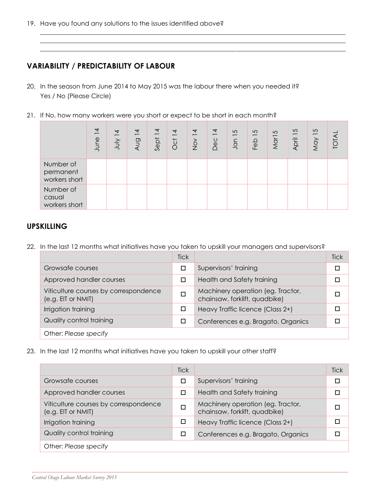19. Have you found any solutions to the issues identified above?

#### **VARIABILITY / PREDICTABILITY OF LABOUR**

- 20. In the season from June 2014 to May 2015 was the labour there when you needed it? Yes / No (Please Circle)
- 21. If No, how many workers were you short or expect to be short in each month?

|                                         | $\overline{\mathcal{A}}$<br>$\overline{\phantom{m}}$<br>June | $\overline{4}$<br>YluL | $\overline{4}$<br>$\overline{\phantom{0}}$<br><b>Aug</b> | $\overline{4}$<br>Sept | $\overline{4}$<br>Oct | $\overline{4}$<br>$\overline{\phantom{0}}$<br>$\geq$ | $\overline{4}$<br>Dec | $\sqrt{ }$<br>Jan | 5<br>Feb | $\sqrt{2}$<br>Mar <sub>1</sub> | 5<br>$\overline{\phantom{0}}$<br>April | 5<br>$\overline{\phantom{0}}$<br>May | TOTA |
|-----------------------------------------|--------------------------------------------------------------|------------------------|----------------------------------------------------------|------------------------|-----------------------|------------------------------------------------------|-----------------------|-------------------|----------|--------------------------------|----------------------------------------|--------------------------------------|------|
| Number of<br>permanent<br>workers short |                                                              |                        |                                                          |                        |                       |                                                      |                       |                   |          |                                |                                        |                                      |      |
| Number of<br>casual<br>workers short    |                                                              |                        |                                                          |                        |                       |                                                      |                       |                   |          |                                |                                        |                                      |      |

**\_\_\_\_\_\_\_\_\_\_\_\_\_\_\_\_\_\_\_\_\_\_\_\_\_\_\_\_\_\_\_\_\_\_\_\_\_\_\_\_\_\_\_\_\_\_\_\_\_\_\_\_\_\_\_\_\_\_\_\_\_\_\_\_\_\_\_\_\_\_\_\_\_\_\_\_\_\_\_\_\_\_\_\_\_\_\_\_\_\_\_\_\_\_\_\_\_ \_\_\_\_\_\_\_\_\_\_\_\_\_\_\_\_\_\_\_\_\_\_\_\_\_\_\_\_\_\_\_\_\_\_\_\_\_\_\_\_\_\_\_\_\_\_\_\_\_\_\_\_\_\_\_\_\_\_\_\_\_\_\_\_\_\_\_\_\_\_\_\_\_\_\_\_\_\_\_\_\_\_\_\_\_\_\_\_\_\_\_\_\_\_\_\_\_ \_\_\_\_\_\_\_\_\_\_\_\_\_\_\_\_\_\_\_\_\_\_\_\_\_\_\_\_\_\_\_\_\_\_\_\_\_\_\_\_\_\_\_\_\_\_\_\_\_\_\_\_\_\_\_\_\_\_\_\_\_\_\_\_\_\_\_\_\_\_\_\_\_\_\_\_\_\_\_\_\_\_\_\_\_\_\_\_\_\_\_\_\_\_\_\_\_**

#### **UPSKILLING**

22. In the last 12 months what initiatives have you taken to upskill your managers and supervisors?

|                                                             | <b>Tick</b> |                                                                    | Tick |
|-------------------------------------------------------------|-------------|--------------------------------------------------------------------|------|
| Growsafe courses                                            | □           | Supervisors' training                                              | П    |
| Approved handler courses                                    | □           | Health and Safety training                                         |      |
| Viticulture courses by correspondence<br>(e.g. EIT or NMIT) | □           | Machinery operation (eg. Tractor,<br>chainsaw, forklift, quadbike) |      |
| Irrigation training                                         | □           | Heavy Traffic licence (Class 2+)                                   |      |
| Quality control training                                    | ◻           | Conferences e.g. Bragato, Organics                                 |      |
| Other: Please specify                                       |             |                                                                    |      |

23. In the last 12 months what initiatives have you taken to upskill your other staff?

|                                                             | <b>Tick</b> |                                                                    | <b>Tick</b> |
|-------------------------------------------------------------|-------------|--------------------------------------------------------------------|-------------|
| Growsafe courses                                            | ⊏           | Supervisors' training                                              | □           |
| Approved handler courses                                    | П           | Health and Safety training                                         |             |
| Viticulture courses by correspondence<br>(e.g. EIT or NMIT) | П           | Machinery operation (eg. Tractor,<br>chainsaw, forklift, quadbike) |             |
| Irrigation training                                         | □           | Heavy Traffic licence (Class 2+)                                   |             |
| Quality control training                                    | □           | Conferences e.g. Bragato, Organics                                 |             |
| Other: Please specify                                       |             |                                                                    |             |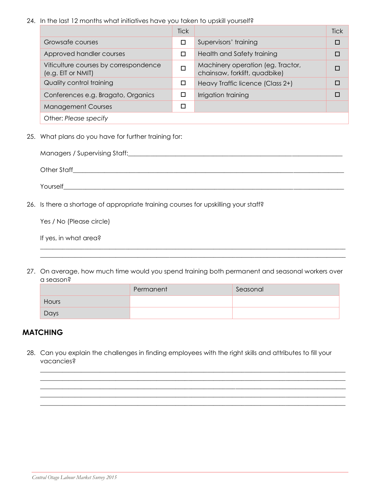#### 24. In the last 12 months what initiatives have you taken to upskill yourself?

|                                                             | <b>Tick</b> |                                                                    | <b>Tick</b> |
|-------------------------------------------------------------|-------------|--------------------------------------------------------------------|-------------|
| Growsafe courses                                            | □           | Supervisors' training                                              | □           |
| Approved handler courses                                    | □           | Health and Safety training                                         | □           |
| Viticulture courses by correspondence<br>(e.g. EIT or NMIT) | $\Box$      | Machinery operation (eg. Tractor,<br>chainsaw, forklift, quadbike) | П           |
| Quality control training                                    | □           | Heavy Traffic licence (Class 2+)                                   | □           |
| Conferences e.g. Bragato, Organics                          |             | Irrigation training                                                | П           |
| <b>Management Courses</b>                                   | □           |                                                                    |             |
| Other: Please specify                                       |             |                                                                    |             |

25. What plans do you have for further training for:

| Other Staff                                                                                                                                                                                                                          |  |
|--------------------------------------------------------------------------------------------------------------------------------------------------------------------------------------------------------------------------------------|--|
| <b>The Second Second Second Second Second Second Second Second Second Second Second Second Second Second Second Second Second Second Second Second Second Second Second Second Second Second Second Second Second Second Second </b> |  |
| 26. Is there a shortage of appropriate training courses for upskilling your staff?                                                                                                                                                   |  |
| Voc / No / Dlogso orale)                                                                                                                                                                                                             |  |

Yes / No (Please circle)

|  |  |  | If yes, in what area? |
|--|--|--|-----------------------|
|--|--|--|-----------------------|

27. On average, how much time would you spend training both permanent and seasonal workers over a season?

\_*\_\_\_\_\_\_\_\_\_\_\_\_\_\_\_\_\_\_\_\_\_\_\_\_\_\_\_\_\_\_\_\_\_\_\_\_\_\_\_\_\_\_\_\_\_\_\_\_\_\_\_\_\_\_\_\_\_\_\_\_\_\_\_\_\_\_\_\_\_\_\_\_\_\_\_\_\_\_\_\_\_\_\_\_\_\_\_\_\_\_\_\_\_\_\_\_ \_\_\_\_\_\_\_\_\_\_\_\_\_\_\_\_\_\_\_\_\_\_\_\_\_\_\_\_\_\_\_\_\_\_\_\_\_\_\_\_\_\_\_\_\_\_\_\_\_\_\_\_\_\_\_\_\_\_\_\_\_\_\_\_\_\_\_\_\_\_\_\_\_\_\_\_\_\_\_\_\_\_\_\_\_\_\_\_\_\_\_\_\_\_\_\_\_*

|       | Permanent | Seasonal |
|-------|-----------|----------|
| Hours |           |          |
| Days  |           |          |

#### **MATCHING**

28. Can you explain the challenges in finding employees with the right skills and attributes to fill your vacancies?

\_\_\_\_\_\_\_\_\_\_\_\_\_\_\_\_\_\_\_\_\_\_\_\_\_\_\_\_\_\_\_\_\_\_\_\_\_\_\_\_\_\_\_\_\_\_\_\_\_\_\_\_\_\_\_\_\_\_\_\_\_\_\_\_\_\_\_\_\_\_\_\_\_\_\_\_\_\_\_\_\_\_\_\_\_\_\_\_\_\_\_\_\_\_\_\_\_ \_\_\_\_\_\_\_\_\_\_\_\_\_\_\_\_\_\_\_\_\_\_\_\_\_\_\_\_\_\_\_\_\_\_\_\_\_\_\_\_\_\_\_\_\_\_\_\_\_\_\_\_\_\_\_\_\_\_\_\_\_\_\_\_\_\_\_\_\_\_\_\_\_\_\_\_\_\_\_\_\_\_\_\_\_\_\_\_\_\_\_\_\_\_\_\_\_ \_\_\_\_\_\_\_\_\_\_\_\_\_\_\_\_\_\_\_\_\_\_\_\_\_\_\_\_\_\_\_\_\_\_\_\_\_\_\_\_\_\_\_\_\_\_\_\_\_\_\_\_\_\_\_\_\_\_\_\_\_\_\_\_\_\_\_\_\_\_\_\_\_\_\_\_\_\_\_\_\_\_\_\_\_\_\_\_\_\_\_\_\_\_\_\_\_ \_\_\_\_\_\_\_\_\_\_\_\_\_\_\_\_\_\_\_\_\_\_\_\_\_\_\_\_\_\_\_\_\_\_\_\_\_\_\_\_\_\_\_\_\_\_\_\_\_\_\_\_\_\_\_\_\_\_\_\_\_\_\_\_\_\_\_\_\_\_\_\_\_\_\_\_\_\_\_\_\_\_\_\_\_\_\_\_\_\_\_\_\_\_\_\_\_ \_\_\_\_\_\_\_\_\_\_\_\_\_\_\_\_\_\_\_\_\_\_\_\_\_\_\_\_\_\_\_\_\_\_\_\_\_\_\_\_\_\_\_\_\_\_\_\_\_\_\_\_\_\_\_\_\_\_\_\_\_\_\_\_\_\_\_\_\_\_\_\_\_\_\_\_\_\_\_\_\_\_\_\_\_\_\_\_\_\_\_\_\_\_\_\_\_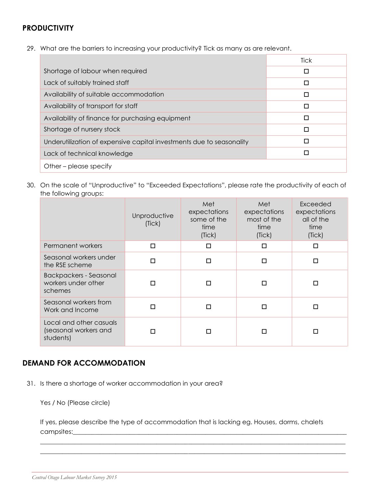#### **PRODUCTIVITY**

29. What are the barriers to increasing your productivity? Tick as many as are relevant.

|                                                                      | Tick |
|----------------------------------------------------------------------|------|
| Shortage of labour when required                                     | ⊏    |
| Lack of suitably trained staff                                       | П    |
| Availability of suitable accommodation                               | П    |
| Availability of transport for staff                                  | П    |
| Availability of finance for purchasing equipment                     | п    |
| Shortage of nursery stock                                            | П    |
| Underutilization of expensive capital investments due to seasonality | П    |
| Lack of technical knowledge                                          | г    |
| Other – please specify                                               |      |

30. On the scale of "Unproductive" to "Exceeded Expectations", please rate the productivity of each of the following groups:

|                                                                 | Unproductive<br>(Tick) | Met<br>expectations<br>some of the<br>time<br>(Tick) | Met<br>expectations<br>most of the<br>time<br>(Tick) | Exceeded<br>expectations<br>all of the<br>time<br>(Tick) |
|-----------------------------------------------------------------|------------------------|------------------------------------------------------|------------------------------------------------------|----------------------------------------------------------|
| Permanent workers                                               | П                      | □                                                    | □                                                    | □                                                        |
| Seasonal workers under<br>the RSE scheme                        | п                      | п                                                    | п                                                    | п                                                        |
| <b>Backpackers - Seasonal</b><br>workers under other<br>schemes |                        | п                                                    | П                                                    | п                                                        |
| Seasonal workers from<br>Work and Income                        |                        | п                                                    | $\Box$                                               | п                                                        |
| Local and other casuals<br>(seasonal workers and<br>students)   |                        |                                                      |                                                      |                                                          |

#### **DEMAND FOR ACCOMMODATION**

31. Is there a shortage of worker accommodation in your area?

Yes / No (Please circle)

If yes, please describe the type of accommodation that is lacking eg. Houses, dorms, chalets campsites:\_\_\_\_\_\_\_\_\_\_\_\_\_\_\_\_\_\_\_\_\_\_\_\_\_\_\_\_\_\_\_\_\_\_\_\_\_\_\_\_\_\_\_\_\_\_\_\_\_\_\_\_\_\_\_\_\_\_\_\_\_\_\_\_\_\_\_\_\_\_\_\_\_\_\_\_\_\_\_\_\_\_\_\_\_\_\_

\_\_\_\_\_\_\_\_\_\_\_\_\_\_\_\_\_\_\_\_\_\_\_\_\_\_\_\_\_\_\_\_\_\_\_\_\_\_\_\_\_\_\_\_\_\_\_\_\_\_\_\_\_\_\_\_\_\_\_\_\_\_\_\_\_\_\_\_\_\_\_\_\_\_\_\_\_\_\_\_\_\_\_\_\_\_\_\_\_\_\_\_\_\_\_\_\_ \_\_\_\_\_\_\_\_\_\_\_\_\_\_\_\_\_\_\_\_\_\_\_\_\_\_\_\_\_\_\_\_\_\_\_\_\_\_\_\_\_\_\_\_\_\_\_\_\_\_\_\_\_\_\_\_\_\_\_\_\_\_\_\_\_\_\_\_\_\_\_\_\_\_\_\_\_\_\_\_\_\_\_\_\_\_\_\_\_\_\_\_\_\_\_\_\_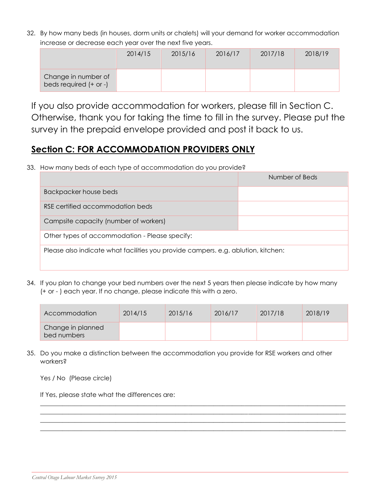32. By how many beds (in houses, dorm units or chalets) will your demand for worker accommodation increase or decrease each year over the next five years.

|                                               | 2014/15 | 2015/16 | 2016/17 | 2017/18 | 2018/19 |
|-----------------------------------------------|---------|---------|---------|---------|---------|
| Change in number of<br>beds required (+ or -) |         |         |         |         |         |

If you also provide accommodation for workers, please fill in Section C. Otherwise, thank you for taking the time to fill in the survey. Please put the survey in the prepaid envelope provided and post it back to us.

## **Section C: FOR ACCOMMODATION PROVIDERS ONLY**

33. How many beds of each type of accommodation do you provide?

|                                                                                   | Number of Beds |
|-----------------------------------------------------------------------------------|----------------|
| Backpacker house beds                                                             |                |
| RSE certified accommodation beds                                                  |                |
| Campsite capacity (number of workers)                                             |                |
| Other types of accommodation - Please specify:                                    |                |
| Please also indicate what facilities you provide campers. e.g. ablution, kitchen: |                |

34. If you plan to change your bed numbers over the next 5 years then please indicate by how many (+ or - ) each year. If no change, please indicate this with a zero.

| Accommodation                    | 2014/15 | 2015/16 | 2016/17 | 2017/18 | 2018/19 |
|----------------------------------|---------|---------|---------|---------|---------|
| Change in planned<br>bed numbers |         |         |         |         |         |

**\_\_\_\_\_\_\_\_\_\_\_\_\_\_\_\_\_\_\_\_\_\_\_\_\_\_\_\_\_\_\_\_\_\_\_\_\_\_\_\_\_\_\_\_\_\_\_\_\_\_\_\_\_\_\_\_\_\_\_\_\_\_\_\_\_\_\_\_\_\_\_\_\_\_\_\_\_\_\_\_\_\_\_\_\_\_\_\_\_\_\_\_\_\_\_\_\_ \_\_\_\_\_\_\_\_\_\_\_\_\_\_\_\_\_\_\_\_\_\_\_\_\_\_\_\_\_\_\_\_\_\_\_\_\_\_\_\_\_\_\_\_\_\_\_\_\_\_\_\_\_\_\_\_\_\_\_\_\_\_\_\_\_\_\_\_\_\_\_\_\_\_\_\_\_\_\_\_\_\_\_\_\_\_\_\_\_\_\_\_\_\_\_\_\_ \_\_\_\_\_\_\_\_\_\_\_\_\_\_\_\_\_\_\_\_\_\_\_\_\_\_\_\_\_\_\_\_\_\_\_\_\_\_\_\_\_\_\_\_\_\_\_\_\_\_\_\_\_\_\_\_\_\_\_\_\_\_\_\_\_\_\_\_\_\_\_\_\_\_\_\_\_\_\_\_\_\_\_\_\_\_\_\_\_\_\_\_\_\_\_\_\_ \_\_\_\_\_\_\_\_\_\_\_\_\_\_\_\_\_\_\_\_\_\_\_\_\_\_\_\_\_\_\_\_\_\_\_\_\_\_\_\_\_\_\_\_\_\_\_\_\_\_\_\_\_\_\_\_\_\_\_\_\_\_\_\_\_\_\_\_\_\_\_\_\_\_\_\_\_\_\_\_\_\_\_\_\_\_\_\_\_\_\_\_\_\_\_\_\_**

35. Do you make a distinction between the accommodation you provide for RSE workers and other workers?

Yes / No (Please circle)

If Yes, please state what the differences are: